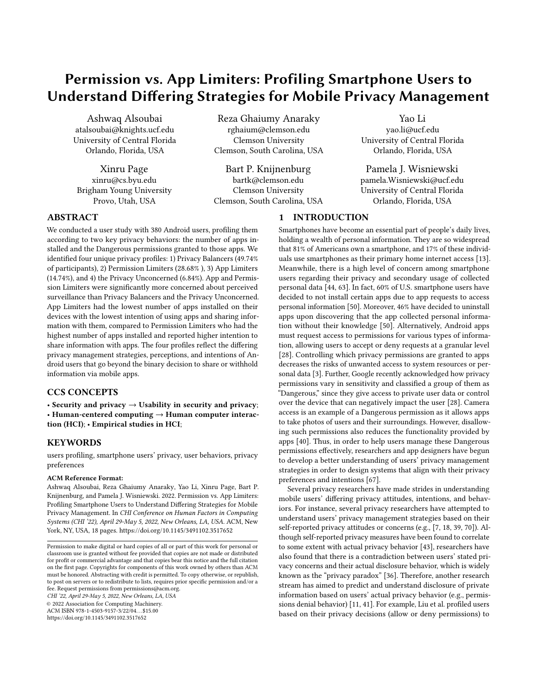# <span id="page-0-0"></span>Permission vs. App Limiters: Profiling Smartphone Users to Understand Difering Strategies for Mobile Privacy Management

Ashwaq Alsoubai Reza Ghaiumy Anaraky Yao Li atalsoubai@knights.ucf.edu rghaium@clemson.edu yao.li@ucf.edu University of Central Florida Clemson University University of Central Florida Orlando, Florida, USA Clemson, South Carolina, USA Orlando, Florida, USA

Xinru Page Bart P. Knijnenburg Pamela J. Wisniewski xinru@cs.byu.edu bartk@clemson.edu pamela.Wisniewski@ucf.edu Brigham Young University Clemson University University of Central Florida Provo, Utah, USA Clemson, South Carolina, USA Orlando, Florida, USA

1 INTRODUCTION

# ABSTRACT

We conducted a user study with 380 Android users, profling them according to two key privacy behaviors: the number of apps installed and the Dangerous permissions granted to those apps. We identifed four unique privacy profles: 1) Privacy Balancers (49.74% of participants), 2) Permission Limiters (28.68% ), 3) App Limiters (14.74%), and 4) the Privacy Unconcerned (6.84%). App and Permission Limiters were signifcantly more concerned about perceived surveillance than Privacy Balancers and the Privacy Unconcerned. App Limiters had the lowest number of apps installed on their devices with the lowest intention of using apps and sharing information with them, compared to Permission Limiters who had the highest number of apps installed and reported higher intention to share information with apps. The four profles refect the difering privacy management strategies, perceptions, and intentions of Android users that go beyond the binary decision to share or withhold information via mobile apps.

## CCS CONCEPTS

• Security and privacy  $\rightarrow$  Usability in security and privacy; • Human-centered computing → Human computer interaction (HCI); • Empirical studies in HCI;

#### **KEYWORDS**

users profling, smartphone users' privacy, user behaviors, privacy preferences

#### ACM Reference Format:

Ashwaq Alsoubai, Reza Ghaiumy Anaraky, Yao Li, Xinru Page, Bart P. Knijnenburg, and Pamela J. Wisniewski. 2022. Permission vs. App Limiters: Profling Smartphone Users to Understand Difering Strategies for Mobile Privacy Management. In CHI Conference on Human Factors in Computing Systems (CHI '22), April 29-May 5, 2022, New Orleans, LA, USA. ACM, New York, NY, USA, [18](#page-17-0) pages. <https://doi.org/10.1145/3491102.3517652>

CHI '22, April 29-May 5, 2022, New Orleans, LA, USA © 2022 Association for Computing Machinery.

ACM ISBN 978-1-4503-9157-3/22/04. . . \$15.00 <https://doi.org/10.1145/3491102.3517652>

Smartphones have become an essential part of people's daily lives, holding a wealth of personal information. They are so widespread that 81% of Americans own a smartphone, and 17% of these individuals use smartphones as their primary home internet access [\[13\]](#page-13-0). Meanwhile, there is a high level of concern among smartphone users regarding their privacy and secondary usage of collected personal data [\[44,](#page-14-0) [63\]](#page-14-1). In fact, 60% of U.S. smartphone users have decided to not install certain apps due to app requests to access personal information [\[50\]](#page-14-2). Moreover, 46% have decided to uninstall apps upon discovering that the app collected personal information without their knowledge [\[50\]](#page-14-2). Alternatively, Android apps must request access to permissions for various types of information, allowing users to accept or deny requests at a granular level [\[28\]](#page-14-3). Controlling which privacy permissions are granted to apps decreases the risks of unwanted access to system resources or personal data [\[3\]](#page-13-1). Further, Google recently acknowledged how privacy permissions vary in sensitivity and classifed a group of them as "Dangerous," since they give access to private user data or control over the device that can negatively impact the user [\[28\]](#page-14-3). Camera access is an example of a Dangerous permission as it allows apps to take photos of users and their surroundings. However, disallowing such permissions also reduces the functionality provided by apps [\[40\]](#page-14-4). Thus, in order to help users manage these Dangerous permissions efectively, researchers and app designers have begun to develop a better understanding of users' privacy management strategies in order to design systems that align with their privacy preferences and intentions [\[67\]](#page-14-5).

Several privacy researchers have made strides in understanding mobile users' difering privacy attitudes, intentions, and behaviors. For instance, several privacy researchers have attempted to understand users' privacy management strategies based on their self-reported privacy attitudes or concerns (e.g., [\[7,](#page-13-2) [18,](#page-13-3) [39,](#page-14-6) [70\]](#page-14-7)). Although self-reported privacy measures have been found to correlate to some extent with actual privacy behavior [\[43\]](#page-14-8), researchers have also found that there is a contradiction between users' stated privacy concerns and their actual disclosure behavior, which is widely known as the "privacy paradox" [\[36\]](#page-14-9). Therefore, another research stream has aimed to predict and understand disclosure of private information based on users' actual privacy behavior (e.g., permissions denial behavior) [\[11,](#page-13-4) [41\]](#page-14-10). For example, Liu et al. profled users based on their privacy decisions (allow or deny permissions) to

Permission to make digital or hard copies of all or part of this work for personal or classroom use is granted without fee provided that copies are not made or distributed for proft or commercial advantage and that copies bear this notice and the full citation on the frst page. Copyrights for components of this work owned by others than ACM must be honored. Abstracting with credit is permitted. To copy otherwise, or republish, to post on servers or to redistribute to lists, requires prior specifc permission and/or a fee. Request permissions from [permissions@acm.org](mailto:permissions@acm.org).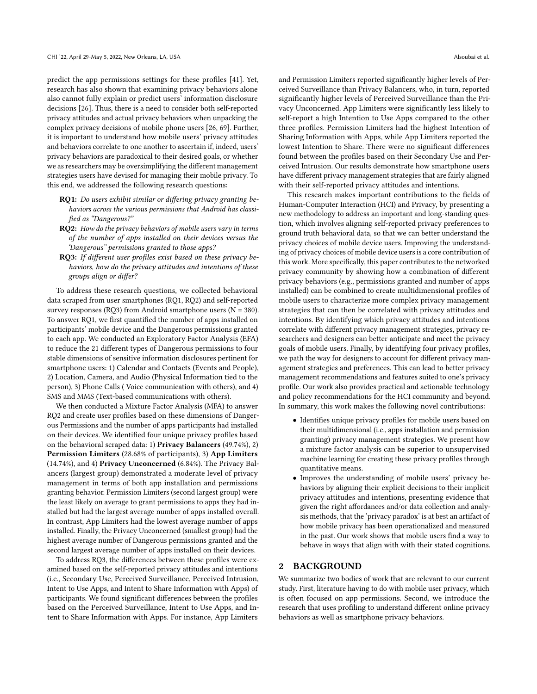predict the app permissions settings for these profles [\[41\]](#page-14-10). Yet, research has also shown that examining privacy behaviors alone also cannot fully explain or predict users' information disclosure decisions [\[26\]](#page-13-5). Thus, there is a need to consider both self-reported privacy attitudes and actual privacy behaviors when unpacking the complex privacy decisions of mobile phone users [\[26,](#page-13-5) [69\]](#page-14-11). Further, it is important to understand how mobile users' privacy attitudes and behaviors correlate to one another to ascertain if, indeed, users' privacy behaviors are paradoxical to their desired goals, or whether we as researchers may be oversimplifying the different management strategies users have devised for managing their mobile privacy. To this end, we addressed the following research questions:

- RQ1: Do users exhibit similar or differing privacy granting behaviors across the various permissions that Android has classifed as "Dangerous?"
- RQ2: How do the privacy behaviors of mobile users vary in terms of the number of apps installed on their devices versus the 'Dangerous" permissions granted to those apps?
- RQ3: If different user profiles exist based on these privacy behaviors, how do the privacy attitudes and intentions of these groups align or difer?

To address these research questions, we collected behavioral data scraped from user smartphones (RQ1, RQ2) and self-reported survey responses (RQ3) from Android smartphone users (N = 380). To answer RQ1, we frst quantifed the number of apps installed on participants' mobile device and the Dangerous permissions granted to each app. We conducted an Exploratory Factor Analysis (EFA) to reduce the 21 diferent types of Dangerous permissions to four stable dimensions of sensitive information disclosures pertinent for smartphone users: 1) Calendar and Contacts (Events and People), 2) Location, Camera, and Audio (Physical Information tied to the person), 3) Phone Calls ( Voice communication with others), and 4) SMS and MMS (Text-based communications with others).

We then conducted a Mixture Factor Analysis (MFA) to answer RQ2 and create user profles based on these dimensions of Dangerous Permissions and the number of apps participants had installed on their devices. We identifed four unique privacy profles based on the behavioral scraped data: 1) Privacy Balancers (49.74%), 2) Permission Limiters (28.68% of participants), 3) App Limiters (14.74%), and 4) Privacy Unconcerned (6.84%). The Privacy Balancers (largest group) demonstrated a moderate level of privacy management in terms of both app installation and permissions granting behavior. Permission Limiters (second largest group) were the least likely on average to grant permissions to apps they had installed but had the largest average number of apps installed overall. In contrast, App Limiters had the lowest average number of apps installed. Finally, the Privacy Unconcerned (smallest group) had the highest average number of Dangerous permissions granted and the second largest average number of apps installed on their devices.

To address RQ3, the diferences between these profles were examined based on the self-reported privacy attitudes and intentions (i.e., Secondary Use, Perceived Surveillance, Perceived Intrusion, Intent to Use Apps, and Intent to Share Information with Apps) of participants. We found signifcant diferences between the profles based on the Perceived Surveillance, Intent to Use Apps, and Intent to Share Information with Apps. For instance, App Limiters

and Permission Limiters reported signifcantly higher levels of Perceived Surveillance than Privacy Balancers, who, in turn, reported signifcantly higher levels of Perceived Surveillance than the Privacy Unconcerned. App Limiters were signifcantly less likely to self-report a high Intention to Use Apps compared to the other three profles. Permission Limiters had the highest Intention of Sharing Information with Apps, while App Limiters reported the lowest Intention to Share. There were no significant differences found between the profles based on their Secondary Use and Perceived Intrusion. Our results demonstrate how smartphone users have diferent privacy management strategies that are fairly aligned with their self-reported privacy attitudes and intentions.

This research makes important contributions to the felds of Human-Computer Interaction (HCI) and Privacy, by presenting a new methodology to address an important and long-standing question, which involves aligning self-reported privacy preferences to ground truth behavioral data, so that we can better understand the privacy choices of mobile device users. Improving the understanding of privacy choices of mobile device usersis a core contribution of this work. More specifically, this paper contributes to the networked privacy community by showing how a combination of diferent privacy behaviors (e.g., permissions granted and number of apps installed) can be combined to create multidimensional profles of mobile users to characterize more complex privacy management strategies that can then be correlated with privacy attitudes and intentions. By identifying which privacy attitudes and intentions correlate with diferent privacy management strategies, privacy researchers and designers can better anticipate and meet the privacy goals of mobile users. Finally, by identifying four privacy profles, we path the way for designers to account for diferent privacy management strategies and preferences. This can lead to better privacy management recommendations and features suited to one's privacy profle. Our work also provides practical and actionable technology and policy recommendations for the HCI community and beyond. In summary, this work makes the following novel contributions:

- Identifes unique privacy profles for mobile users based on their multidimensional (i.e., apps installation and permission granting) privacy management strategies. We present how a mixture factor analysis can be superior to unsupervised machine learning for creating these privacy profles through quantitative means.
- Improves the understanding of mobile users' privacy behaviors by aligning their explicit decisions to their implicit privacy attitudes and intentions, presenting evidence that given the right affordances and/or data collection and analysis methods, that the 'privacy paradox' is at best an artifact of how mobile privacy has been operationalized and measured in the past. Our work shows that mobile users fnd a way to behave in ways that align with with their stated cognitions.

#### 2 BACKGROUND

We summarize two bodies of work that are relevant to our current study. First, literature having to do with mobile user privacy, which is often focused on app permissions. Second, we introduce the research that uses profling to understand diferent online privacy behaviors as well as smartphone privacy behaviors.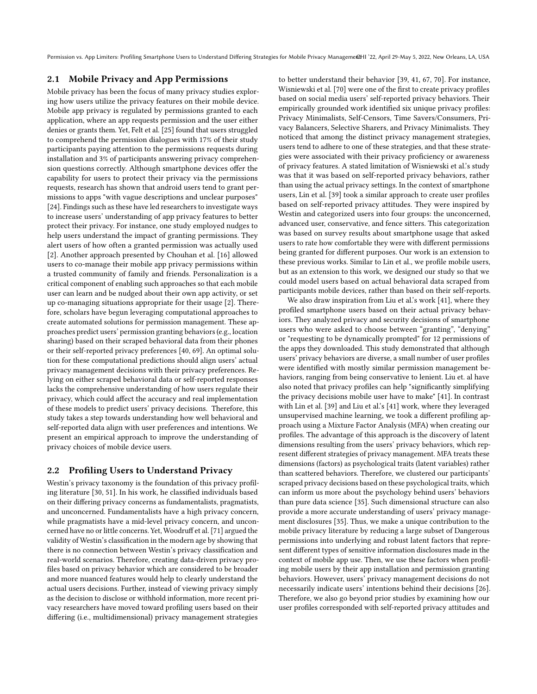### 2.1 Mobile Privacy and App Permissions

Mobile privacy has been the focus of many privacy studies exploring how users utilize the privacy features on their mobile device. Mobile app privacy is regulated by permissions granted to each application, where an app requests permission and the user either denies or grants them. Yet, Felt et al. [\[25\]](#page-13-6) found that users struggled to comprehend the permission dialogues with 17% of their study participants paying attention to the permissions requests during installation and 3% of participants answering privacy comprehension questions correctly. Although smartphone devices offer the capability for users to protect their privacy via the permissions requests, research has shown that android users tend to grant permissions to apps "with vague descriptions and unclear purposes" [\[24\]](#page-13-7). Findings such as these have led researchers to investigate ways to increase users' understanding of app privacy features to better protect their privacy. For instance, one study employed nudges to help users understand the impact of granting permissions. They alert users of how often a granted permission was actually used [\[2\]](#page-13-8). Another approach presented by Chouhan et al. [\[16\]](#page-13-9) allowed users to co-manage their mobile app privacy permissions within a trusted community of family and friends. Personalization is a critical component of enabling such approaches so that each mobile user can learn and be nudged about their own app activity, or set up co-managing situations appropriate for their usage [\[2\]](#page-13-8). Therefore, scholars have begun leveraging computational approaches to create automated solutions for permission management. These approaches predict users' permission granting behaviors(e.g., location sharing) based on their scraped behavioral data from their phones or their self-reported privacy preferences [\[40,](#page-14-4) [69\]](#page-14-11). An optimal solution for these computational predictions should align users' actual privacy management decisions with their privacy preferences. Relying on either scraped behavioral data or self-reported responses lacks the comprehensive understanding of how users regulate their privacy, which could afect the accuracy and real implementation of these models to predict users' privacy decisions. Therefore, this study takes a step towards understanding how well behavioral and self-reported data align with user preferences and intentions. We present an empirical approach to improve the understanding of privacy choices of mobile device users.

## 2.2 Profling Users to Understand Privacy

Westin's privacy taxonomy is the foundation of this privacy profling literature [\[30,](#page-14-12) [51\]](#page-14-13). In his work, he classifed individuals based on their difering privacy concerns as fundamentalists, pragmatists, and unconcerned. Fundamentalists have a high privacy concern, while pragmatists have a mid-level privacy concern, and uncon-cerned have no or little concerns. Yet, Woodruff et al. [\[71\]](#page-14-14) argued the validity of Westin's classifcation in the modern age by showing that there is no connection between Westin's privacy classifcation and real-world scenarios. Therefore, creating data-driven privacy profles based on privacy behavior which are considered to be broader and more nuanced features would help to clearly understand the actual users decisions. Further, instead of viewing privacy simply as the decision to disclose or withhold information, more recent privacy researchers have moved toward profling users based on their difering (i.e., multidimensional) privacy management strategies

to better understand their behavior [\[39,](#page-14-6) [41,](#page-14-10) [67,](#page-14-5) [70\]](#page-14-7). For instance, Wisniewski et al. [\[70\]](#page-14-7) were one of the frst to create privacy profles based on social media users' self-reported privacy behaviors. Their empirically grounded work identifed six unique privacy profles: Privacy Minimalists, Self-Censors, Time Savers/Consumers, Privacy Balancers, Selective Sharers, and Privacy Minimalists. They noticed that among the distinct privacy management strategies, users tend to adhere to one of these strategies, and that these strategies were associated with their privacy proficiency or awareness of privacy features. A stated limitation of Wisniewski et al.'s study was that it was based on self-reported privacy behaviors, rather than using the actual privacy settings. In the context of smartphone users, Lin et al. [\[39\]](#page-14-6) took a similar approach to create user profles based on self-reported privacy attitudes. They were inspired by Westin and categorized users into four groups: the unconcerned, advanced user, conservative, and fence sitters. This categorization was based on survey results about smartphone usage that asked users to rate how comfortable they were with diferent permissions being granted for diferent purposes. Our work is an extension to these previous works. Similar to Lin et al., we profle mobile users, but as an extension to this work, we designed our study so that we could model users based on actual behavioral data scraped from participants mobile devices, rather than based on their self-reports.

We also draw inspiration from Liu et al.'s work [\[41\]](#page-14-10), where they profled smartphone users based on their actual privacy behaviors. They analyzed privacy and security decisions of smartphone users who were asked to choose between "granting", "denying" or "requesting to be dynamically prompted" for 12 permissions of the apps they downloaded. This study demonstrated that although users' privacy behaviors are diverse, a small number of user profles were identifed with mostly similar permission management behaviors, ranging from being conservative to lenient. Liu et. al have also noted that privacy profles can help "signifcantly simplifying the privacy decisions mobile user have to make" [\[41\]](#page-14-10). In contrast with Lin et al. [\[39\]](#page-14-6) and Liu et al.'s [\[41\]](#page-14-10) work, where they leveraged unsupervised machine learning, we took a diferent profling approach using a Mixture Factor Analysis (MFA) when creating our profles. The advantage of this approach is the discovery of latent dimensions resulting from the users' privacy behaviors, which represent diferent strategies of privacy management. MFA treats these dimensions (factors) as psychological traits (latent variables) rather than scattered behaviors. Therefore, we clustered our participants' scraped privacy decisions based on these psychological traits, which can inform us more about the psychology behind users' behaviors than pure data science [\[35\]](#page-14-15). Such dimensional structure can also provide a more accurate understanding of users' privacy management disclosures [\[35\]](#page-14-15). Thus, we make a unique contribution to the mobile privacy literature by reducing a large subset of Dangerous permissions into underlying and robust latent factors that represent diferent types of sensitive information disclosures made in the context of mobile app use. Then, we use these factors when profling mobile users by their app installation and permission granting behaviors. However, users' privacy management decisions do not necessarily indicate users' intentions behind their decisions [\[26\]](#page-13-5). Therefore, we also go beyond prior studies by examining how our user profles corresponded with self-reported privacy attitudes and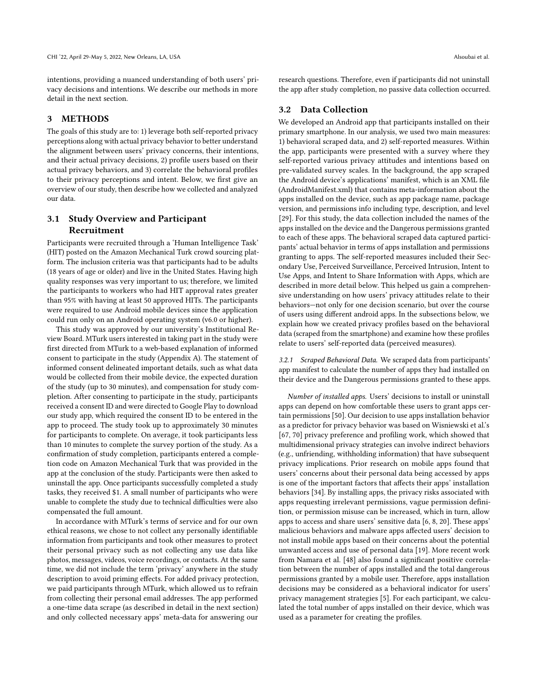intentions, providing a nuanced understanding of both users' privacy decisions and intentions. We describe our methods in more detail in the next section.

#### 3 METHODS

The goals of this study are to: 1) leverage both self-reported privacy perceptions along with actual privacy behavior to better understand the alignment between users' privacy concerns, their intentions, and their actual privacy decisions, 2) profle users based on their actual privacy behaviors, and 3) correlate the behavioral profles to their privacy perceptions and intent. Below, we frst give an overview of our study, then describe how we collected and analyzed our data.

# 3.1 Study Overview and Participant Recruitment

Participants were recruited through a 'Human Intelligence Task' (HIT) posted on the Amazon Mechanical Turk crowd sourcing platform. The inclusion criteria was that participants had to be adults (18 years of age or older) and live in the United States. Having high quality responses was very important to us; therefore, we limited the participants to workers who had HIT approval rates greater than 95% with having at least 50 approved HITs. The participants were required to use Android mobile devices since the application could run only on an Android operating system (v6.0 or higher).

This study was approved by our university's Institutional Review Board. MTurk users interested in taking part in the study were frst directed from MTurk to a web-based explanation of informed consent to participate in the study (Appendix A). The statement of informed consent delineated important details, such as what data would be collected from their mobile device, the expected duration of the study (up to 30 minutes), and compensation for study completion. After consenting to participate in the study, participants received a consent ID and were directed to Google Play to download our study app, which required the consent ID to be entered in the app to proceed. The study took up to approximately 30 minutes for participants to complete. On average, it took participants less than 10 minutes to complete the survey portion of the study. As a confrmation of study completion, participants entered a completion code on Amazon Mechanical Turk that was provided in the app at the conclusion of the study. Participants were then asked to uninstall the app. Once participants successfully completed a study tasks, they received \$1. A small number of participants who were unable to complete the study due to technical difficulties were also compensated the full amount.

In accordance with MTurk's terms of service and for our own ethical reasons, we chose to not collect any personally identifable information from participants and took other measures to protect their personal privacy such as not collecting any use data like photos, messages, videos, voice recordings, or contacts. At the same time, we did not include the term 'privacy' anywhere in the study description to avoid priming efects. For added privacy protection, we paid participants through MTurk, which allowed us to refrain from collecting their personal email addresses. The app performed a one-time data scrape (as described in detail in the next section) and only collected necessary apps' meta-data for answering our

research questions. Therefore, even if participants did not uninstall the app after study completion, no passive data collection occurred.

## 3.2 Data Collection

We developed an Android app that participants installed on their primary smartphone. In our analysis, we used two main measures: 1) behavioral scraped data, and 2) self-reported measures. Within the app, participants were presented with a survey where they self-reported various privacy attitudes and intentions based on pre-validated survey scales. In the background, the app scraped the Android device's applications' manifest, which is an XML fle (AndroidManifest.xml) that contains meta-information about the apps installed on the device, such as app package name, package version, and permissions info including type, description, and level [\[29\]](#page-14-16). For this study, the data collection included the names of the apps installed on the device and the Dangerous permissions granted to each of these apps. The behavioral scraped data captured participants' actual behavior in terms of apps installation and permissions granting to apps. The self-reported measures included their Secondary Use, Perceived Surveillance, Perceived Intrusion, Intent to Use Apps, and Intent to Share Information with Apps, which are described in more detail below. This helped us gain a comprehensive understanding on how users' privacy attitudes relate to their behaviors—not only for one decision scenario, but over the course of users using diferent android apps. In the subsections below, we explain how we created privacy profles based on the behavioral data (scraped from the smartphone) and examine how these profles relate to users' self-reported data (perceived measures).

3.2.1 Scraped Behavioral Data. We scraped data from participants' app manifest to calculate the number of apps they had installed on their device and the Dangerous permissions granted to these apps.

Number of installed apps. Users' decisions to install or uninstall apps can depend on how comfortable these users to grant apps certain permissions [\[50\]](#page-14-2). Our decision to use apps installation behavior as a predictor for privacy behavior was based on Wisniewski et al.'s [\[67,](#page-14-5) [70\]](#page-14-7) privacy preference and profiling work, which showed that multidimensional privacy strategies can involve indirect behaviors (e.g., unfriending, withholding information) that have subsequent privacy implications. Prior research on mobile apps found that users' concerns about their personal data being accessed by apps is one of the important factors that afects their apps' installation behaviors [\[34\]](#page-14-17). By installing apps, the privacy risks associated with apps requesting irrelevant permissions, vague permission defnition, or permission misuse can be increased, which in turn, allow apps to access and share users' sensitive data [\[6,](#page-13-10) [8,](#page-13-11) [20\]](#page-13-12). These apps' malicious behaviors and malware apps afected users' decision to not install mobile apps based on their concerns about the potential unwanted access and use of personal data [\[19\]](#page-13-13). More recent work from Namara et al. [\[48\]](#page-14-18) also found a signifcant positive correlation between the number of apps installed and the total dangerous permissions granted by a mobile user. Therefore, apps installation decisions may be considered as a behavioral indicator for users' privacy management strategies [\[5\]](#page-13-14). For each participant, we calculated the total number of apps installed on their device, which was used as a parameter for creating the profles.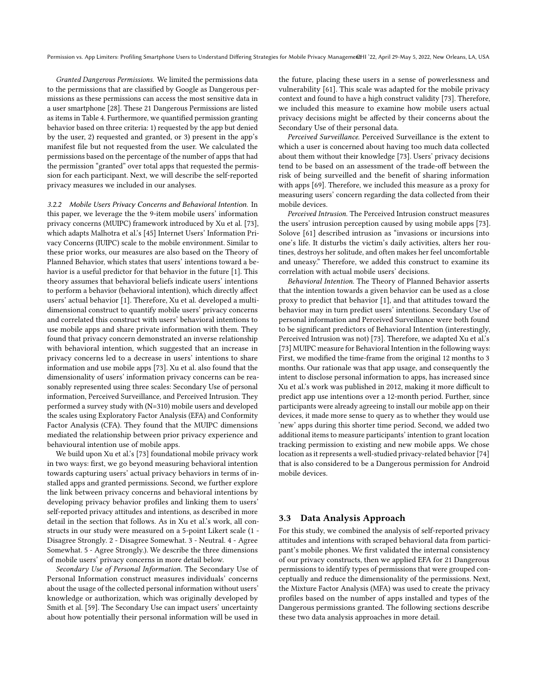Granted Dangerous Permissions. We limited the permissions data to the permissions that are classifed by Google as Dangerous permissions as these permissions can access the most sensitive data in a user smartphone [\[28\]](#page-14-3). These 21 Dangerous Permissions are listed as items in [Table](#page-7-0) 4. Furthermore, we quantifed permission granting behavior based on three criteria: 1) requested by the app but denied by the user, 2) requested and granted, or 3) present in the app's manifest fle but not requested from the user. We calculated the permissions based on the percentage of the number of apps that had the permission "granted" over total apps that requested the permission for each participant. Next, we will describe the self-reported privacy measures we included in our analyses.

3.2.2 Mobile Users Privacy Concerns and Behavioral Intention. In this paper, we leverage the the 9-item mobile users' information privacy concerns (MUIPC) framework introduced by Xu et al. [\[73\]](#page-14-19), which adapts Malhotra et al.'s [\[45\]](#page-14-20) Internet Users' Information Privacy Concerns (IUIPC) scale to the mobile environment. Similar to these prior works, our measures are also based on the Theory of Planned Behavior, which states that users' intentions toward a behavior is a useful predictor for that behavior in the future [\[1\]](#page-13-15). This theory assumes that behavioral beliefs indicate users' intentions to perform a behavior (behavioral intention), which directly afect users' actual behavior [\[1\]](#page-13-15). Therefore, Xu et al. developed a multidimensional construct to quantify mobile users' privacy concerns and correlated this construct with users' behavioral intentions to use mobile apps and share private information with them. They found that privacy concern demonstrated an inverse relationship with behavioral intention, which suggested that an increase in privacy concerns led to a decrease in users' intentions to share information and use mobile apps [\[73\]](#page-14-19). Xu et al. also found that the dimensionality of users' information privacy concerns can be reasonably represented using three scales: Secondary Use of personal information, Perceived Surveillance, and Perceived Intrusion. They performed a survey study with (N=310) mobile users and developed the scales using Exploratory Factor Analysis (EFA) and Conformity Factor Analysis (CFA). They found that the MUIPC dimensions mediated the relationship between prior privacy experience and behavioural intention use of mobile apps.

We build upon Xu et al.'s [\[73\]](#page-14-19) foundational mobile privacy work in two ways: frst, we go beyond measuring behavioral intention towards capturing users' actual privacy behaviors in terms of installed apps and granted permissions. Second, we further explore the link between privacy concerns and behavioral intentions by developing privacy behavior profles and linking them to users' self-reported privacy attitudes and intentions, as described in more detail in the section that follows. As in Xu et al.'s work, all constructs in our study were measured on a 5-point Likert scale (1 - Disagree Strongly. 2 - Disagree Somewhat. 3 - Neutral. 4 - Agree Somewhat. 5 - Agree Strongly.). We describe the three dimensions of mobile users' privacy concerns in more detail below.

Secondary Use of Personal Information. The Secondary Use of Personal Information construct measures individuals' concerns about the usage of the collected personal information without users' knowledge or authorization, which was originally developed by Smith et al. [\[59\]](#page-14-21). The Secondary Use can impact users' uncertainty about how potentially their personal information will be used in

the future, placing these users in a sense of powerlessness and vulnerability [\[61\]](#page-14-22). This scale was adapted for the mobile privacy context and found to have a high construct validity [\[73\]](#page-14-19). Therefore, we included this measure to examine how mobile users actual privacy decisions might be afected by their concerns about the Secondary Use of their personal data.

Perceived Surveillance. Perceived Surveillance is the extent to which a user is concerned about having too much data collected about them without their knowledge [\[73\]](#page-14-19). Users' privacy decisions tend to be based on an assessment of the trade-off between the risk of being surveilled and the beneft of sharing information with apps [\[69\]](#page-14-11). Therefore, we included this measure as a proxy for measuring users' concern regarding the data collected from their mobile devices.

Perceived Intrusion. The Perceived Intrusion construct measures the users' intrusion perception caused by using mobile apps [\[73\]](#page-14-19). Solove [\[61\]](#page-14-22) described intrusion as "invasions or incursions into one's life. It disturbs the victim's daily activities, alters her routines, destroys her solitude, and often makes her feel uncomfortable and uneasy." Therefore, we added this construct to examine its correlation with actual mobile users' decisions.

Behavioral Intention. The Theory of Planned Behavior asserts that the intention towards a given behavior can be used as a close proxy to predict that behavior [\[1\]](#page-13-15), and that attitudes toward the behavior may in turn predict users' intentions. Secondary Use of personal information and Perceived Surveillance were both found to be signifcant predictors of Behavioral Intention (interestingly, Perceived Intrusion was not) [\[73\]](#page-14-19). Therefore, we adapted Xu et al.'s [\[73\]](#page-14-19) MUIPC measure for Behavioral Intention in the following ways: First, we modifed the time-frame from the original 12 months to 3 months. Our rationale was that app usage, and consequently the intent to disclose personal information to apps, has increased since Xu et al.'s work was published in 2012, making it more difficult to predict app use intentions over a 12-month period. Further, since participants were already agreeing to install our mobile app on their devices, it made more sense to query as to whether they would use 'new' apps during this shorter time period. Second, we added two additional items to measure participants' intention to grant location tracking permission to existing and new mobile apps. We chose location as it represents a well-studied privacy-related behavior [\[74\]](#page-14-23) that is also considered to be a Dangerous permission for Android mobile devices.

#### 3.3 Data Analysis Approach

For this study, we combined the analysis of self-reported privacy attitudes and intentions with scraped behavioral data from participant's mobile phones. We frst validated the internal consistency of our privacy constructs, then we applied EFA for 21 Dangerous permissions to identify types of permissions that were grouped conceptually and reduce the dimensionality of the permissions. Next, the Mixture Factor Analysis (MFA) was used to create the privacy profles based on the number of apps installed and types of the Dangerous permissions granted. The following sections describe these two data analysis approaches in more detail.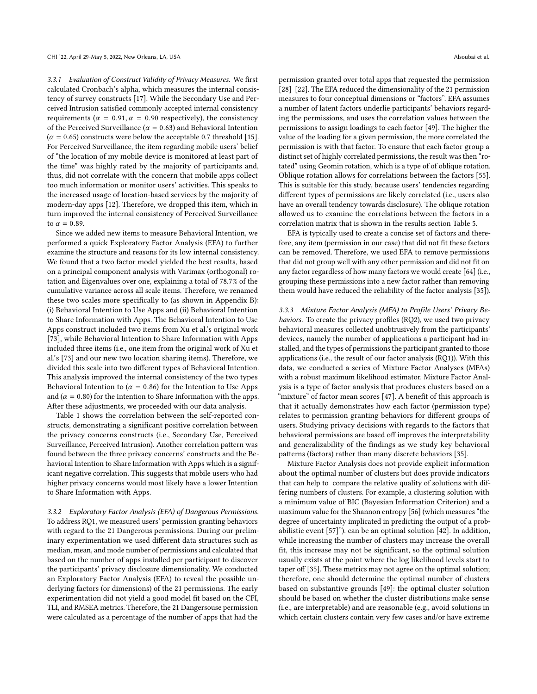3.3.1 Evaluation of Construct Validity of Privacy Measures. We frst calculated Cronbach's alpha, which measures the internal consistency of survey constructs [\[17\]](#page-13-16). While the Secondary Use and Perceived Intrusion satisfed commonly accepted internal consistency requirements ( $\alpha = 0.91$ ,  $\alpha = 0.90$  respectively), the consistency of the Perceived Surveillance ( $\alpha$  = 0.63) and Behavioral Intention  $(\alpha = 0.65)$  constructs were below the acceptable 0.7 threshold [\[15\]](#page-13-17). For Perceived Surveillance, the item regarding mobile users' belief of "the location of my mobile device is monitored at least part of the time" was highly rated by the majority of participants and, thus, did not correlate with the concern that mobile apps collect too much information or monitor users' activities. This speaks to the increased usage of location-based services by the majority of modern-day apps [\[12\]](#page-13-18). Therefore, we dropped this item, which in turn improved the internal consistency of Perceived Surveillance to  $\alpha = 0.89$ .

Since we added new items to measure Behavioral Intention, we performed a quick Exploratory Factor Analysis (EFA) to further examine the structure and reasons for its low internal consistency. We found that a two factor model yielded the best results, based on a principal component analysis with Varimax (orthogonal) rotation and Eigenvalues over one, explaining a total of 78.7% of the cumulative variance across all scale items. Therefore, we renamed these two scales more specifcally to (as shown in Appendix B): (i) Behavioral Intention to Use Apps and (ii) Behavioral Intention to Share Information with Apps. The Behavioral Intention to Use Apps construct included two items from Xu et al.'s original work [\[73\]](#page-14-19), while Behavioral Intention to Share Information with Apps included three items (i.e., one item from the original work of Xu et al.'s [\[73\]](#page-14-19) and our new two location sharing items). Therefore, we divided this scale into two diferent types of Behavioral Intention. This analysis improved the internal consistency of the two types Behavioral Intention to ( $\alpha = 0.86$ ) for the Intention to Use Apps and ( $\alpha$  = 0.80) for the Intention to Share Information with the apps. After these adjustments, we proceeded with our data analysis.

[Table](#page-6-0) 1 shows the correlation between the self-reported constructs, demonstrating a signifcant positive correlation between the privacy concerns constructs (i.e., Secondary Use, Perceived Surveillance, Perceived Intrusion). Another correlation pattern was found between the three privacy concerns' constructs and the Behavioral Intention to Share Information with Apps which is a significant negative correlation. This suggests that mobile users who had higher privacy concerns would most likely have a lower Intention to Share Information with Apps.

3.3.2 Exploratory Factor Analysis (EFA) of Dangerous Permissions. To address RQ1, we measured users' permission granting behaviors with regard to the 21 Dangerous permissions. During our preliminary experimentation we used diferent data structures such as median, mean, and mode number of permissions and calculated that based on the number of apps installed per participant to discover the participants' privacy disclosure dimensionality. We conducted an Exploratory Factor Analysis (EFA) to reveal the possible underlying factors (or dimensions) of the 21 permissions. The early experimentation did not yield a good model ft based on the CFI, TLI, and RMSEA metrics. Therefore, the 21 Dangersouse permission were calculated as a percentage of the number of apps that had the

permission granted over total apps that requested the permission [\[28\]](#page-14-3). [\[22\]](#page-13-19). The EFA reduced the dimensionality of the 21 permission measures to four conceptual dimensions or "factors". EFA assumes a number of latent factors underlie participants' behaviors regarding the permissions, and uses the correlation values between the permissions to assign loadings to each factor [\[49\]](#page-14-24). The higher the value of the loading for a given permission, the more correlated the permission is with that factor. To ensure that each factor group a distinct set of highly correlated permissions, the result was then "rotated" using Geomin rotation, which is a type of of oblique rotation. Oblique rotation allows for correlations between the factors [\[55\]](#page-14-25). This is suitable for this study, because users' tendencies regarding diferent types of permissions are likely correlated (i.e., users also have an overall tendency towards disclosure). The oblique rotation allowed us to examine the correlations between the factors in a correlation matrix that is shown in the results section [Table](#page-7-1) 5.

EFA is typically used to create a concise set of factors and therefore, any item (permission in our case) that did not ft these factors can be removed. Therefore, we used EFA to remove permissions that did not group well with any other permission and did not ft on any factor regardless of how many factors we would create [\[64\]](#page-14-26) (i.e., grouping these permissions into a new factor rather than removing them would have reduced the reliability of the factor analysis [\[35\]](#page-14-15)).

3.3.3 Mixture Factor Analysis (MFA) to Profile Users' Privacy Behaviors. To create the privacy profiles (RQ2), we used two privacy behavioral measures collected unobtrusively from the participants' devices, namely the number of applications a participant had installed, and the types of permissions the participant granted to those applications (i.e., the result of our factor analysis (RQ1)). With this data, we conducted a series of Mixture Factor Analyses (MFAs) with a robust maximum likelihood estimator. Mixture Factor Analysis is a type of factor analysis that produces clusters based on a "mixture" of factor mean scores [\[47\]](#page-14-27). A benefit of this approach is that it actually demonstrates how each factor (permission type) relates to permission granting behaviors for diferent groups of users. Studying privacy decisions with regards to the factors that behavioral permissions are based off improves the interpretability and generalizability of the fndings as we study key behavioral patterns (factors) rather than many discrete behaviors [\[35\]](#page-14-15).

Mixture Factor Analysis does not provide explicit information about the optimal number of clusters but does provide indicators that can help to compare the relative quality of solutions with differing numbers of clusters. For example, a clustering solution with a minimum value of BIC (Bayesian Information Criterion) and a maximum value for the Shannon entropy [\[56\]](#page-14-28) (which measures "the degree of uncertainty implicated in predicting the output of a probabilistic event [\[57\]](#page-14-29)"). can be an optimal solution [\[42\]](#page-14-30). In addition, while increasing the number of clusters may increase the overall ft, this increase may not be signifcant, so the optimal solution usually exists at the point where the log likelihood levels start to taper off [\[35\]](#page-14-15). These metrics may not agree on the optimal solution; therefore, one should determine the optimal number of clusters based on substantive grounds [\[49\]](#page-14-24): the optimal cluster solution should be based on whether the cluster distributions make sense (i.e., are interpretable) and are reasonable (e.g., avoid solutions in which certain clusters contain very few cases and/or have extreme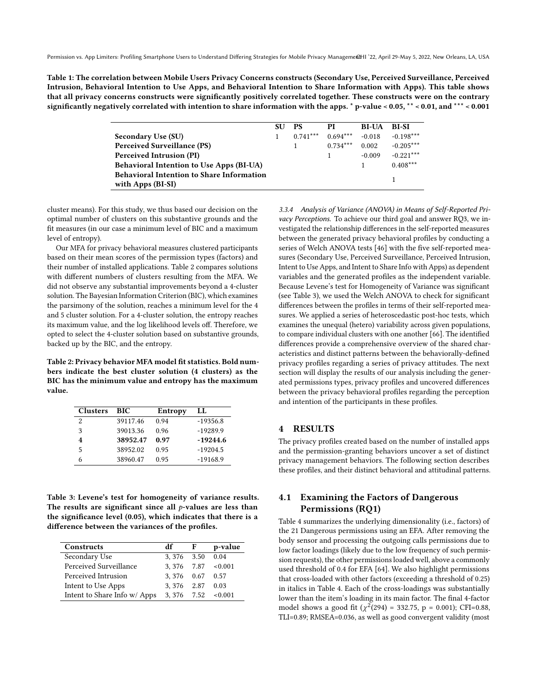<span id="page-6-0"></span>Table 1: The correlation between Mobile Users Privacy Concerns constructs (Secondary Use, Perceived Surveillance, Perceived Intrusion, Behavioral Intention to Use Apps, and Behavioral Intention to Share Information with Apps). This table shows that all privacy concerns constructs were signifcantly positively correlated together. These constructs were on the contrary signifcantly negatively correlated with intention to share information with the apps. \* p-value < 0.05, \*\* < 0.01, and \*\*\* < 0.001

|                                                                       | <b>SU</b> | <b>PS</b>  | РI         | <b>BI-UA</b> | BI-SI       |
|-----------------------------------------------------------------------|-----------|------------|------------|--------------|-------------|
| <b>Secondary Use (SU)</b>                                             |           | $0.741***$ | $0.694***$ | $-0.018$     | $-0.198***$ |
| <b>Perceived Surveillance (PS)</b>                                    |           |            | $0.734***$ | 0.002        | $-0.205***$ |
| Perceived Intrusion (PI)                                              |           |            |            | $-0.009$     | $-0.221***$ |
| <b>Behavioral Intention to Use Apps (BI-UA)</b>                       |           |            |            |              | $0.408***$  |
| <b>Behavioral Intention to Share Information</b><br>with Apps (BI-SI) |           |            |            |              |             |

cluster means). For this study, we thus based our decision on the optimal number of clusters on this substantive grounds and the ft measures (in our case a minimum level of BIC and a maximum level of entropy).

Our MFA for privacy behavioral measures clustered participants based on their mean scores of the permission types (factors) and their number of installed applications. [Table](#page-6-1) 2 compares solutions with diferent numbers of clusters resulting from the MFA. We did not observe any substantial improvements beyond a 4-cluster solution. The Bayesian Information Criterion (BIC), which examines the parsimony of the solution, reaches a minimum level for the 4 and 5 cluster solution. For a 4-cluster solution, the entropy reaches its maximum value, and the log likelihood levels off. Therefore, we opted to select the 4-cluster solution based on substantive grounds, backed up by the BIC, and the entropy.

<span id="page-6-1"></span>Table 2: Privacy behavior MFA model ft statistics. Bold numbers indicate the best cluster solution (4 clusters) as the BIC has the minimum value and entropy has the maximum value.

| <b>Clusters</b> | BIC      | Entropy | LL.        |
|-----------------|----------|---------|------------|
| 2               | 39117.46 | 0.94    | $-19356.8$ |
| 3               | 39013.36 | 0.96    | $-19289.9$ |
| 4               | 38952.47 | 0.97    | $-19244.6$ |
| 5               | 38952.02 | 0.95    | $-19204.5$ |
|                 | 38960.47 | 0.95    | $-19168.9$ |

<span id="page-6-2"></span>Table 3: Levene's test for homogeneity of variance results. The results are significant since all  $p$ -values are less than the signifcance level (0.05), which indicates that there is a diference between the variances of the profles.

| Constructs                   | df         | F    | p-value |
|------------------------------|------------|------|---------|
| Secondary Use                | 3.376 3.50 |      | 0.04    |
| Perceived Surveillance       | 3.376 7.87 |      | < 0.001 |
| Perceived Intrusion          | 3.376      | 0.67 | 0.57    |
| Intent to Use Apps           | 3.376      | 2.87 | 0.03    |
| Intent to Share Info w/ Apps | 3.376 7.52 |      | < 0.001 |

3.3.4 Analysis of Variance (ANOVA) in Means of Self-Reported Privacy Perceptions. To achieve our third goal and answer RQ3, we investigated the relationship diferences in the self-reported measures between the generated privacy behavioral profles by conducting a series of Welch ANOVA tests [\[46\]](#page-14-31) with the five self-reported measures (Secondary Use, Perceived Surveillance, Perceived Intrusion, Intent to Use Apps, and Intent to Share Info with Apps) as dependent variables and the generated profles as the independent variable. Because Levene's test for Homogeneity of Variance was signifcant (see [Table](#page-6-2) 3), we used the Welch ANOVA to check for signifcant diferences between the profles in terms of their self-reported measures. We applied a series of heteroscedastic post-hoc tests, which examines the unequal (hetero) variability across given populations, to compare individual clusters with one another [\[66\]](#page-14-32). The identifed diferences provide a comprehensive overview of the shared characteristics and distinct patterns between the behaviorally-defned privacy profles regarding a series of privacy attitudes. The next section will display the results of our analysis including the generated permissions types, privacy profles and uncovered diferences between the privacy behavioral profles regarding the perception and intention of the participants in these profles.

#### 4 RESULTS

The privacy profles created based on the number of installed apps and the permission-granting behaviors uncover a set of distinct privacy management behaviors. The following section describes these profles, and their distinct behavioral and attitudinal patterns.

# 4.1 Examining the Factors of Dangerous Permissions (RQ1)

[Table](#page-7-0) 4 summarizes the underlying dimensionality (i.e., factors) of the 21 Dangerous permissions using an EFA. After removing the body sensor and processing the outgoing calls permissions due to low factor loadings (likely due to the low frequency of such permission requests), the other permissions loaded well, above a commonly used threshold of 0.4 for EFA [\[64\]](#page-14-26). We also highlight permissions that cross-loaded with other factors (exceeding a threshold of 0.25) in italics in [Table](#page-7-0) 4. Each of the cross-loadings was substantially lower than the item's loading in its main factor. The fnal 4-factor model shows a good fit ( $\chi^2(294) = 332.75$ , p = 0.001); [CFI=0.88](https://CFI=0.88), [TLI=0.89](https://TLI=0.89); RMSEA=0.036, as well as good convergent validity (most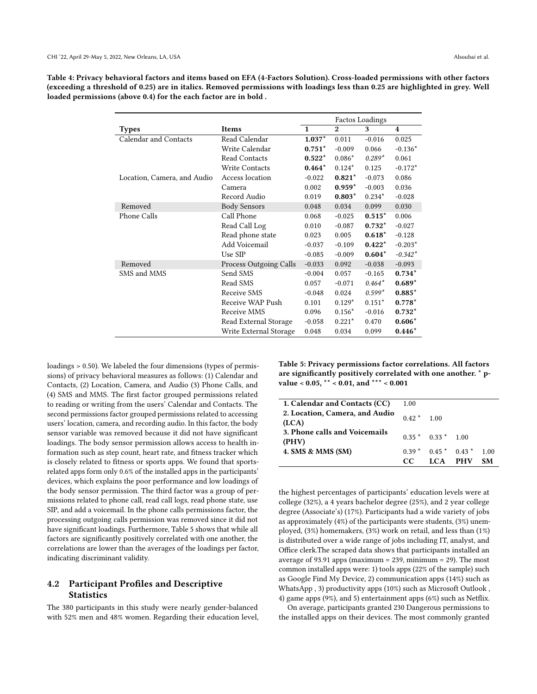<span id="page-7-0"></span>Table 4: Privacy behavioral factors and items based on EFA (4-Factors Solution). Cross-loaded permissions with other factors (exceeding a threshold of 0.25) are in italics. Removed permissions with loadings less than 0.25 are highlighted in grey. Well loaded permissions (above 0.4) for the each factor are in bold .

|                             |                        |              |              | <b>Factos Loadings</b> |                         |
|-----------------------------|------------------------|--------------|--------------|------------------------|-------------------------|
| <b>Types</b>                | Items                  | $\mathbf{1}$ | $\mathbf{2}$ | 3                      | $\overline{\mathbf{4}}$ |
| Calendar and Contacts       | Read Calendar          | $1.037*$     | 0.011        | $-0.016$               | 0.025                   |
|                             | Write Calendar         | $0.751*$     | $-0.009$     | 0.066                  | $-0.136*$               |
|                             | Read Contacts          | $0.522*$     | $0.086*$     | $0.289*$               | 0.061                   |
|                             | <b>Write Contacts</b>  | $0.464*$     | $0.124*$     | 0.125                  | $-0.172*$               |
| Location, Camera, and Audio | Access location        | $-0.022$     | $0.821*$     | $-0.073$               | 0.086                   |
|                             | Camera                 | 0.002        | $0.959*$     | $-0.003$               | 0.036                   |
|                             | Record Audio           | 0.019        | $0.803*$     | $0.234*$               | $-0.028$                |
| Removed                     | <b>Body Sensors</b>    | 0.048        | 0.034        | 0.099                  | 0.030                   |
| Phone Calls                 | Call Phone             | 0.068        | $-0.025$     | $0.515*$               | 0.006                   |
|                             | Read Call Log          | 0.010        | $-0.087$     | $0.732*$               | $-0.027$                |
|                             | Read phone state       | 0.023        | 0.005        | $0.618*$               | $-0.128$                |
|                             | Add Voicemail          | $-0.037$     | $-0.109$     | $0.422*$               | $-0.203*$               |
|                             | Use SIP                | $-0.085$     | $-0.009$     | $0.604*$               | $-0.342*$               |
| Removed                     | Process Outgoing Calls | $-0.033$     | 0.092        | $-0.038$               | $-0.093$                |
| SMS and MMS                 | Send SMS               | $-0.004$     | 0.057        | $-0.165$               | $0.734*$                |
|                             | Read SMS               | 0.057        | $-0.071$     | $0.464*$               | $0.689*$                |
|                             | Receive SMS            | $-0.048$     | 0.024        | $0.599*$               | $\mathbf{0.885}^\star$  |
|                             | Receive WAP Push       | 0.101        | $0.129*$     | $0.151*$               | $0.778*$                |
|                             | Receive MMS            | 0.096        | $0.156*$     | $-0.016$               | $0.732*$                |
|                             | Read External Storage  | $-0.058$     | $0.221*$     | 0.470                  | $0.606*$                |
|                             | Write External Storage | 0.048        | 0.034        | 0.099                  | $0.446*$                |

loadings > 0.50). We labeled the four dimensions (types of permissions) of privacy behavioral measures as follows: (1) Calendar and Contacts, (2) Location, Camera, and Audio (3) Phone Calls, and (4) SMS and MMS. The frst factor grouped permissions related to reading or writing from the users' Calendar and Contacts. The second permissions factor grouped permissions related to accessing users' location, camera, and recording audio. In this factor, the body sensor variable was removed because it did not have signifcant loadings. The body sensor permission allows access to health information such as step count, heart rate, and ftness tracker which is closely related to ftness or sports apps. We found that sportsrelated apps form only 0.6% of the installed apps in the participants' devices, which explains the poor performance and low loadings of the body sensor permission. The third factor was a group of permissions related to phone call, read call logs, read phone state, use SIP, and add a voicemail. In the phone calls permissions factor, the processing outgoing calls permission was removed since it did not have signifcant loadings. Furthermore, [Table](#page-7-1) 5 shows that while all factors are signifcantly positively correlated with one another, the correlations are lower than the averages of the loadings per factor, indicating discriminant validity.

## 4.2 Participant Profles and Descriptive **Statistics**

The 380 participants in this study were nearly gender-balanced with 52% men and 48% women. Regarding their education level, <span id="page-7-1"></span>Table 5: Privacy permissions factor correlations. All factors are signifcantly positively correlated with one another. \* pvalue < 0.05, \*\* < 0.01, and \*\*\* < 0.001

| 1. Calendar and Contacts (CC)<br>2. Location, Camera, and Audio<br>(ICA)<br>3. Phone calls and Voicemails<br>(PHV) | 1.00<br>$0.42*1.00$ | $0.35*0.33*1.00$                 |    |
|--------------------------------------------------------------------------------------------------------------------|---------------------|----------------------------------|----|
| 4. SMS & MMS (SM)                                                                                                  | CC.                 | $0.39*0.45*0.43*1.00$<br>LCA PHV | SМ |

the highest percentages of participants' education levels were at college (32%), a 4 years bachelor degree (25%), and 2 year college degree (Associate's) (17%). Participants had a wide variety of jobs as approximately (4%) of the participants were students, (3%) unemployed, (3%) homemakers, (3%) work on retail, and less than (1%) is distributed over a wide range of jobs including IT, analyst, and Office clerk.The scraped data shows that participants installed an average of 93.91 apps (maximum =  $239$ , minimum =  $29$ ). The most common installed apps were: 1) tools apps (22% of the sample) such as Google Find My Device, 2) communication apps (14%) such as WhatsApp , 3) productivity apps (10%) such as Microsoft Outlook , 4) game apps (9%), and 5) entertainment apps (6%) such as Netfix.

On average, participants granted 230 Dangerous permissions to the installed apps on their devices. The most commonly granted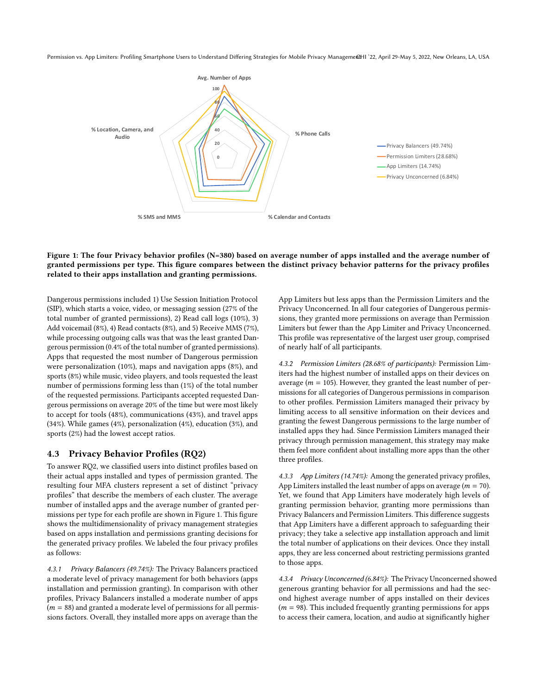<span id="page-8-0"></span>

#### Figure 1: The four Privacy behavior profles (N=380) based on average number of apps installed and the average number of granted permissions per type. This fgure compares between the distinct privacy behavior patterns for the privacy profles related to their apps installation and granting permissions.

Dangerous permissions included 1) Use Session Initiation Protocol (SIP), which starts a voice, video, or messaging session (27% of the total number of granted permissions), 2) Read call logs (10%), 3) Add voicemail (8%), 4) Read contacts (8%), and 5) Receive MMS (7%), while processing outgoing calls was that was the least granted Dangerous permission (0.4% of the total number of granted permissions). Apps that requested the most number of Dangerous permission were personalization (10%), maps and navigation apps (8%), and sports (8%) while music, video players, and tools requested the least number of permissions forming less than (1%) of the total number of the requested permissions. Participants accepted requested Dangerous permissions on average 20% of the time but were most likely to accept for tools (48%), communications (43%), and travel apps (34%). While games (4%), personalization (4%), education (3%), and sports (2%) had the lowest accept ratios.

#### 4.3 Privacy Behavior Profles (RQ2)

To answer RQ2, we classifed users into distinct profles based on their actual apps installed and types of permission granted. The resulting four MFA clusters represent a set of distinct "privacy profles" that describe the members of each cluster. The average number of installed apps and the average number of granted permissions per type for each profle are shown in [Figure](#page-8-0) 1. This fgure shows the multidimensionality of privacy management strategies based on apps installation and permissions granting decisions for the generated privacy profles. We labeled the four privacy profles as follows:

4.3.1 Privacy Balancers (49.74%): The Privacy Balancers practiced a moderate level of privacy management for both behaviors (apps installation and permission granting). In comparison with other profles, Privacy Balancers installed a moderate number of apps  $(m = 88)$  and granted a moderate level of permissions for all permissions factors. Overall, they installed more apps on average than the

App Limiters but less apps than the Permission Limiters and the Privacy Unconcerned. In all four categories of Dangerous permissions, they granted more permissions on average than Permission Limiters but fewer than the App Limiter and Privacy Unconcerned. This profle was representative of the largest user group, comprised of nearly half of all participants.

4.3.2 Permission Limiters (28.68% of participants): Permission Limiters had the highest number of installed apps on their devices on average ( $m = 105$ ). However, they granted the least number of permissions for all categories of Dangerous permissions in comparison to other profles. Permission Limiters managed their privacy by limiting access to all sensitive information on their devices and granting the fewest Dangerous permissions to the large number of installed apps they had. Since Permission Limiters managed their privacy through permission management, this strategy may make them feel more confdent about installing more apps than the other three profles.

4.3.3 App Limiters (14.74%): Among the generated privacy profles, App Limiters installed the least number of apps on average ( $m = 70$ ). Yet, we found that App Limiters have moderately high levels of granting permission behavior, granting more permissions than Privacy Balancers and Permission Limiters. This diference suggests that App Limiters have a diferent approach to safeguarding their privacy; they take a selective app installation approach and limit the total number of applications on their devices. Once they install apps, they are less concerned about restricting permissions granted to those apps.

4.3.4 Privacy Unconcerned (6.84%): The Privacy Unconcerned showed generous granting behavior for all permissions and had the second highest average number of apps installed on their devices  $(m = 98)$ . This included frequently granting permissions for apps to access their camera, location, and audio at signifcantly higher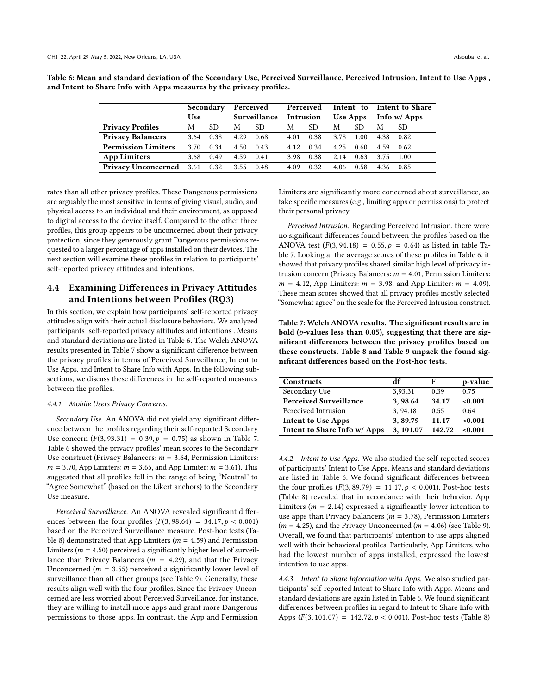|                                      |            | Secondary |           | Perceived              |      |      |      |          |      | Perceived Intent to Intent to Share |
|--------------------------------------|------------|-----------|-----------|------------------------|------|------|------|----------|------|-------------------------------------|
|                                      | <b>Use</b> |           |           | Surveillance Intrusion |      |      |      | Use Apps |      | Info w/ Apps                        |
| <b>Privacy Profiles</b>              | M          | SD.       | M         | SD.                    | M    | SD.  | M    | SD.      | M    | -SD                                 |
| <b>Privacy Balancers</b>             | 3.64       | 0.38      | 4.29      | 0.68                   | 4.01 | 0.38 | 3.78 | 1.00     |      | 4.38 0.82                           |
| <b>Permission Limiters</b>           | 3.70       | 0.34      | 4.50      | 0.43                   | 4.12 | 0.34 | 4.25 | 0.60     |      | 4.59 0.62                           |
| <b>App Limiters</b>                  | 3.68       | 0.49      | 4.59      | 0.41                   | 3.98 | 0.38 | 2.14 | 0.63     | 3.75 | - 1.00                              |
| <b>Privacy Unconcerned</b> 3.61 0.32 |            |           | 3.55 0.48 |                        | 4.09 | 0.32 | 4.06 | 0.58     | 4.36 | 0.85                                |

<span id="page-9-0"></span>Table 6: Mean and standard deviation of the Secondary Use, Perceived Surveillance, Perceived Intrusion, Intent to Use Apps , and Intent to Share Info with Apps measures by the privacy profles.

rates than all other privacy profles. These Dangerous permissions are arguably the most sensitive in terms of giving visual, audio, and physical access to an individual and their environment, as opposed to digital access to the device itself. Compared to the other three profles, this group appears to be unconcerned about their privacy protection, since they generously grant Dangerous permissions requested to a larger percentage of apps installed on their devices. The next section will examine these profles in relation to participants' self-reported privacy attitudes and intentions.

## 4.4 Examining Diferences in Privacy Attitudes and Intentions between Profles (RQ3)

In this section, we explain how participants' self-reported privacy attitudes align with their actual disclosure behaviors. We analyzed participants' self-reported privacy attitudes and intentions . Means and standard deviations are listed in [Table](#page-9-0) 6. The Welch ANOVA results presented in [Table](#page-9-1) 7 show a signifcant diference between the privacy profles in terms of Perceived Surveillance, Intent to Use Apps, and Intent to Share Info with Apps. In the following subsections, we discuss these diferences in the self-reported measures between the profles.

#### 4.4.1 Mobile Users Privacy Concerns.

Secondary Use. An ANOVA did not yield any signifcant diference between the profles regarding their self-reported Secondary Use concern  $(F(3, 93.31) = 0.39, p = 0.75)$  as shown in [Table](#page-9-1) 7. [Table](#page-9-0) 6 showed the privacy profles' mean scores to the Secondary Use construct (Privacy Balancers:  $m = 3.64$ , Permission Limiters:  $m = 3.70$ , App Limiters:  $m = 3.65$ , and App Limiter:  $m = 3.61$ ). This suggested that all profles fell in the range of being "Neutral" to "Agree Somewhat" (based on the Likert anchors) to the Secondary Use measure.

Perceived Surveillance. An ANOVA revealed signifcant diferences between the four profiles  $(F(3, 98.64) = 34.17, p < 0.001)$ based on the Perceived Surveillance measure. Post-hoc tests [\(Ta](#page-10-0)[ble](#page-10-0) 8) demonstrated that App Limiters ( $m = 4.59$ ) and Permission Limiters ( $m = 4.50$ ) perceived a significantly higher level of surveillance than Privacy Balancers ( $m = 4.29$ ), and that the Privacy Unconcerned ( $m = 3.55$ ) perceived a significantly lower level of surveillance than all other groups (see [Table](#page-10-1) 9). Generally, these results align well with the four profles. Since the Privacy Unconcerned are less worried about Perceived Surveillance, for instance, they are willing to install more apps and grant more Dangerous permissions to those apps. In contrast, the App and Permission

Limiters are signifcantly more concerned about surveillance, so take specifc measures (e.g., limiting apps or permissions) to protect their personal privacy.

Perceived Intrusion. Regarding Perceived Intrusion, there were no signifcant diferences found between the profles based on the ANOVA test  $(F(3, 94.18) = 0.55, p = 0.64)$  as listed in table [Ta](#page-9-1)[ble](#page-9-1) 7. Looking at the average scores of these profles in [Table](#page-9-0) 6, it showed that privacy profles shared similar high level of privacy intrusion concern (Privacy Balancers:  $m = 4.01$ , Permission Limiters:  $m = 4.12$ , App Limiters:  $m = 3.98$ , and App Limiter:  $m = 4.09$ ). These mean scores showed that all privacy profles mostly selected "Somewhat agree" on the scale for the Perceived Intrusion construct.

<span id="page-9-1"></span>Table 7: Welch ANOVA results. The signifcant results are in bold  $(p$ -values less than 0.05), suggesting that there are signifcant diferences between the privacy profles based on these constructs. [Table](#page-10-0) 8 and [Table](#page-10-1) 9 unpack the found signifcant diferences based on the Post-hoc tests.

| Constructs                    | df       | F      | p-value |
|-------------------------------|----------|--------|---------|
| Secondary Use                 | 3.93.31  | 0.39   | 0.75    |
| <b>Perceived Surveillance</b> | 3, 98.64 | 34.17  | < 0.001 |
| Perceived Intrusion           | 3.94.18  | 0.55   | 0.64    |
| <b>Intent to Use Apps</b>     | 3,89.79  | 11.17  | < 0.001 |
| Intent to Share Info w/ Apps  | 3.101.07 | 142.72 | < 0.001 |

4.4.2 Intent to Use Apps. We also studied the self-reported scores of participants' Intent to Use Apps. Means and standard deviations are listed in [Table](#page-9-0) 6. We found signifcant diferences between the four profiles  $(F(3, 89.79) = 11.17, p < 0.001)$ . Post-hoc tests [\(Table](#page-10-0) 8) revealed that in accordance with their behavior, App Limiters ( $m = 2.14$ ) expressed a significantly lower intention to use apps than Privacy Balancers ( $m = 3.78$ ), Permission Limiters  $(m = 4.25)$ , and the Privacy Unconcerned  $(m = 4.06)$  (see [Table](#page-10-1) 9). Overall, we found that participants' intention to use apps aligned well with their behavioral profles. Particularly, App Limiters, who had the lowest number of apps installed, expressed the lowest intention to use apps.

4.4.3 Intent to Share Information with Apps. We also studied participants' self-reported Intent to Share Info with Apps. Means and standard deviations are again listed in [Table](#page-9-0) 6. We found signifcant diferences between profles in regard to Intent to Share Info with Apps  $(F(3, 101.07) = 142.72, p < 0.001)$ . Post-hoc tests [\(Table](#page-10-0) 8)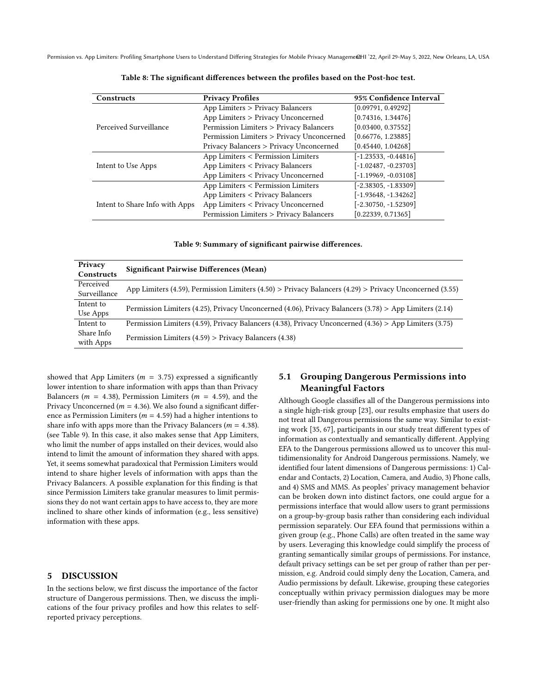<span id="page-10-0"></span>

| <b>Constructs</b>              | <b>Privacy Profiles</b>                   | 95% Confidence Interval |
|--------------------------------|-------------------------------------------|-------------------------|
|                                | App Limiters > Privacy Balancers          | [0.09791, 0.49292]      |
|                                | App Limiters > Privacy Unconcerned        | [0.74316, 1.34476]      |
| Perceived Surveillance         | Permission Limiters > Privacy Balancers   | [0.03400, 0.37552]      |
|                                | Permission Limiters > Privacy Unconcerned | [0.66776, 1.23885]      |
|                                | Privacy Balancers > Privacy Unconcerned   | [0.45440, 1.04268]      |
|                                | App Limiters < Permission Limiters        | $[-1.23533, -0.44816]$  |
| Intent to Use Apps             | App Limiters < Privacy Balancers          | [-1.02487, -0.23703]    |
|                                | App Limiters < Privacy Unconcerned        | [-1.19969, -0.03108]    |
|                                | App Limiters < Permission Limiters        | $[-2.38305, -1.83309]$  |
|                                | App Limiters < Privacy Balancers          | [-1.93648, -1.34262]    |
| Intent to Share Info with Apps | App Limiters < Privacy Unconcerned        | $[-2.30750, -1.52309]$  |
|                                | Permission Limiters > Privacy Balancers   | [0.22339, 0.71365]      |

Table 8: The signifcant diferences between the profles based on the Post-hoc test.

Table 9: Summary of signifcant pairwise diferences.

<span id="page-10-1"></span>

| Privacy<br>Constructs | Significant Pairwise Differences (Mean)                                                                 |
|-----------------------|---------------------------------------------------------------------------------------------------------|
| Perceived             | App Limiters (4.59), Permission Limiters (4.50) > Privacy Balancers (4.29) > Privacy Unconcerned (3.55) |
| Surveillance          |                                                                                                         |
| Intent to             | Permission Limiters (4.25), Privacy Unconcerned (4.06), Privacy Balancers (3.78) > App Limiters (2.14)  |
| Use Apps              |                                                                                                         |
| Intent to             | Permission Limiters (4.59), Privacy Balancers (4.38), Privacy Unconcerned (4.36) > App Limiters (3.75)  |
| Share Info            | Permission Limiters $(4.59)$ > Privacy Balancers $(4.38)$                                               |
| with Apps             |                                                                                                         |

showed that App Limiters ( $m = 3.75$ ) expressed a significantly lower intention to share information with apps than than Privacy Balancers ( $m = 4.38$ ), Permission Limiters ( $m = 4.59$ ), and the Privacy Unconcerned ( $m = 4.36$ ). We also found a significant difference as Permission Limiters ( $m = 4.59$ ) had a higher intentions to share info with apps more than the Privacy Balancers ( $m = 4.38$ ). (see [Table](#page-10-1) 9). In this case, it also makes sense that App Limiters, who limit the number of apps installed on their devices, would also intend to limit the amount of information they shared with apps. Yet, it seems somewhat paradoxical that Permission Limiters would intend to share higher levels of information with apps than the Privacy Balancers. A possible explanation for this fnding is that since Permission Limiters take granular measures to limit permissions they do not want certain apps to have access to, they are more inclined to share other kinds of information (e.g., less sensitive) information with these apps.

#### 5 DISCUSSION

In the sections below, we frst discuss the importance of the factor structure of Dangerous permissions. Then, we discuss the implications of the four privacy profles and how this relates to selfreported privacy perceptions.

## 5.1 Grouping Dangerous Permissions into Meaningful Factors

Although Google classifes all of the Dangerous permissions into a single high-risk group [\[23\]](#page-13-20), our results emphasize that users do not treat all Dangerous permissions the same way. Similar to existing work [\[35,](#page-14-15) [67\]](#page-14-5), participants in our study treat diferent types of information as contextually and semantically diferent. Applying EFA to the Dangerous permissions allowed us to uncover this multidimensionality for Android Dangerous permissions. Namely, we identifed four latent dimensions of Dangerous permissions: 1) Calendar and Contacts, 2) Location, Camera, and Audio, 3) Phone calls, and 4) SMS and MMS. As peoples' privacy management behavior can be broken down into distinct factors, one could argue for a permissions interface that would allow users to grant permissions on a group-by-group basis rather than considering each individual permission separately. Our EFA found that permissions within a given group (e.g., Phone Calls) are often treated in the same way by users. Leveraging this knowledge could simplify the process of granting semantically similar groups of permissions. For instance, default privacy settings can be set per group of rather than per permission, e.g. Android could simply deny the Location, Camera, and Audio permissions by default. Likewise, grouping these categories conceptually within privacy permission dialogues may be more user-friendly than asking for permissions one by one. It might also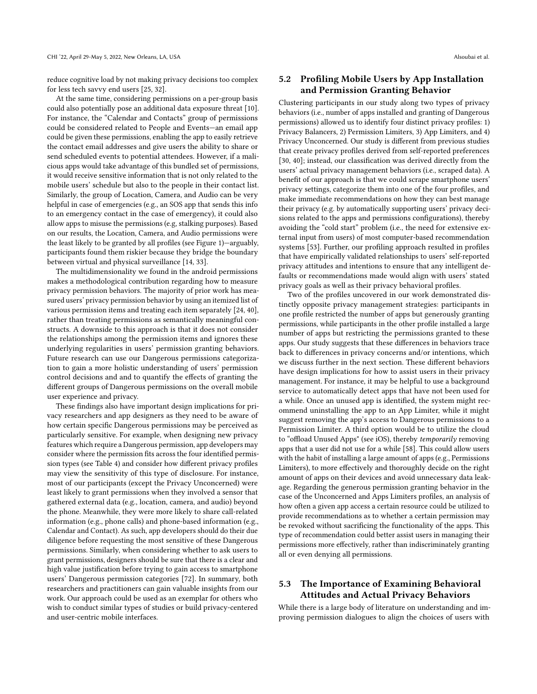reduce cognitive load by not making privacy decisions too complex for less tech savvy end users [\[25,](#page-13-6) [32\]](#page-14-33).

At the same time, considering permissions on a per-group basis could also potentially pose an additional data exposure threat [\[10\]](#page-13-21). For instance, the "Calendar and Contacts" group of permissions could be considered related to People and Events—an email app could be given these permissions, enabling the app to easily retrieve the contact email addresses and give users the ability to share or send scheduled events to potential attendees. However, if a malicious apps would take advantage of this bundled set of permissions, it would receive sensitive information that is not only related to the mobile users' schedule but also to the people in their contact list. Similarly, the group of Location, Camera, and Audio can be very helpful in case of emergencies (e.g., an SOS app that sends this info to an emergency contact in the case of emergency), it could also allow apps to misuse the permissions (e.g, stalking purposes). Based on our results, the Location, Camera, and Audio permissions were the least likely to be granted by all profles (see [Figure](#page-8-0) 1)—arguably, participants found them riskier because they bridge the boundary between virtual and physical surveillance [\[14,](#page-13-22) [33\]](#page-14-34).

The multidimensionality we found in the android permissions makes a methodological contribution regarding how to measure privacy permission behaviors. The majority of prior work has measured users' privacy permission behavior by using an itemized list of various permission items and treating each item separately [\[24,](#page-13-7) [40\]](#page-14-4), rather than treating permissions as semantically meaningful constructs. A downside to this approach is that it does not consider the relationships among the permission items and ignores these underlying regularities in users' permission granting behaviors. Future research can use our Dangerous permissions categorization to gain a more holistic understanding of users' permission control decisions and and to quantify the efects of granting the diferent groups of Dangerous permissions on the overall mobile user experience and privacy.

These fndings also have important design implications for privacy researchers and app designers as they need to be aware of how certain specifc Dangerous permissions may be perceived as particularly sensitive. For example, when designing new privacy features which require a Dangerous permission, app developers may consider where the permission fts across the four identifed permission types (see [Table](#page-7-0) 4) and consider how diferent privacy profles may view the sensitivity of this type of disclosure. For instance, most of our participants (except the Privacy Unconcerned) were least likely to grant permissions when they involved a sensor that gathered external data (e.g., location, camera, and audio) beyond the phone. Meanwhile, they were more likely to share call-related information (e.g., phone calls) and phone-based information (e.g., Calendar and Contact). As such, app developers should do their due diligence before requesting the most sensitive of these Dangerous permissions. Similarly, when considering whether to ask users to grant permissions, designers should be sure that there is a clear and high value justifcation before trying to gain access to smartphone users' Dangerous permission categories [\[72\]](#page-14-35). In summary, both researchers and practitioners can gain valuable insights from our work. Our approach could be used as an exemplar for others who wish to conduct similar types of studies or build privacy-centered and user-centric mobile interfaces.

## 5.2 Profling Mobile Users by App Installation and Permission Granting Behavior

Clustering participants in our study along two types of privacy behaviors (i.e., number of apps installed and granting of Dangerous permissions) allowed us to identify four distinct privacy profles: 1) Privacy Balancers, 2) Permission Limiters, 3) App Limiters, and 4) Privacy Unconcerned. Our study is diferent from previous studies that create privacy profles derived from self-reported preferences [\[30,](#page-14-12) [40\]](#page-14-4); instead, our classifcation was derived directly from the users' actual privacy management behaviors (i.e., scraped data). A beneft of our approach is that we could scrape smartphone users' privacy settings, categorize them into one of the four profles, and make immediate recommendations on how they can best manage their privacy (e.g. by automatically supporting users' privacy decisions related to the apps and permissions confgurations), thereby avoiding the "cold start" problem (i.e., the need for extensive external input from users) of most computer-based recommendation systems [\[53\]](#page-14-36). Further, our profling approach resulted in profles that have empirically validated relationships to users' self-reported privacy attitudes and intentions to ensure that any intelligent defaults or recommendations made would align with users' stated privacy goals as well as their privacy behavioral profles.

Two of the profles uncovered in our work demonstrated distinctly opposite privacy management strategies: participants in one profle restricted the number of apps but generously granting permissions, while participants in the other profle installed a large number of apps but restricting the permissions granted to these apps. Our study suggests that these diferences in behaviors trace back to diferences in privacy concerns and/or intentions, which we discuss further in the next section. These diferent behaviors have design implications for how to assist users in their privacy management. For instance, it may be helpful to use a background service to automatically detect apps that have not been used for a while. Once an unused app is identifed, the system might recommend uninstalling the app to an App Limiter, while it might suggest removing the app's access to Dangerous permissions to a Permission Limiter. A third option would be to utilize the cloud to "offload Unused Apps" (see iOS), thereby temporarily removing apps that a user did not use for a while [\[58\]](#page-14-37). This could allow users with the habit of installing a large amount of apps (e.g., Permissions Limiters), to more efectively and thoroughly decide on the right amount of apps on their devices and avoid unnecessary data leakage. Regarding the generous permission granting behavior in the case of the Unconcerned and Apps Limiters profles, an analysis of how often a given app access a certain resource could be utilized to provide recommendations as to whether a certain permission may be revoked without sacrifcing the functionality of the apps. This type of recommendation could better assist users in managing their permissions more efectively, rather than indiscriminately granting all or even denying all permissions.

## 5.3 The Importance of Examining Behavioral Attitudes and Actual Privacy Behaviors

While there is a large body of literature on understanding and improving permission dialogues to align the choices of users with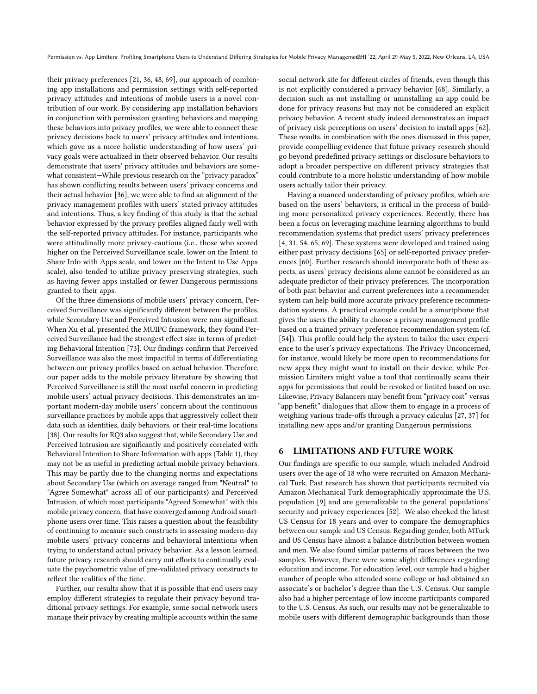their privacy preferences [\[21,](#page-13-23) [36,](#page-14-9) [48,](#page-14-18) [69\]](#page-14-11), our approach of combining app installations and permission settings with self-reported privacy attitudes and intentions of mobile users is a novel contribution of our work. By considering app installation behaviors in conjunction with permission granting behaviors and mapping these behaviors into privacy profles, we were able to connect these privacy decisions back to users' privacy attitudes and intentions, which gave us a more holistic understanding of how users' privacy goals were actualized in their observed behavior. Our results demonstrate that users' privacy attitudes and behaviors are somewhat consistent—While previous research on the "privacy paradox" has shown conficting results between users' privacy concerns and their actual behavior [\[36\]](#page-14-9), we were able to fnd an alignment of the privacy management profles with users' stated privacy attitudes and intentions. Thus, a key fnding of this study is that the actual behavior expressed by the privacy profles aligned fairly well with the self-reported privacy attitudes. For instance, participants who were attitudinally more privacy-cautious (i.e., those who scored higher on the Perceived Surveillance scale, lower on the Intent to Share Info with Apps scale, and lower on the Intent to Use Apps scale), also tended to utilize privacy preserving strategies, such as having fewer apps installed or fewer Dangerous permissions granted to their apps.

Of the three dimensions of mobile users' privacy concern, Perceived Surveillance was signifcantly diferent between the profles, while Secondary Use and Perceived Intrusion were non-signifcant. When Xu et al. presented the MUIPC framework, they found Perceived Surveillance had the strongest efect size in terms of predicting Behavioral Intention [\[73\]](#page-14-19). Our fndings confrm that Perceived Surveillance was also the most impactful in terms of diferentiating between our privacy profles based on actual behavior. Therefore, our paper adds to the mobile privacy literature by showing that Perceived Surveillance is still the most useful concern in predicting mobile users' actual privacy decisions. This demonstrates an important modern-day mobile users' concern about the continuous surveillance practices by mobile apps that aggressively collect their data such as identities, daily behaviors, or their real-time locations [\[38\]](#page-14-38). Our results for RQ3 also suggest that, while Secondary Use and Perceived Intrusion are signifcantly and positively correlated with Behavioral Intention to Share Information with apps (Table [1\)](#page-6-0), they may not be as useful in predicting actual mobile privacy behaviors. This may be partly due to the changing norms and expectations about Secondary Use (which on average ranged from "Neutral" to "Agree Somewhat" across all of our participants) and Perceived Intrusion, of which most participants "Agreed Somewhat" with this mobile privacy concern, that have converged among Android smartphone users over time. This raises a question about the feasibility of continuing to measure such constructs in assessing modern-day mobile users' privacy concerns and behavioral intentions when trying to understand actual privacy behavior. As a lesson learned, future privacy research should carry out efforts to continually evaluate the psychometric value of pre-validated privacy constructs to refect the realities of the time.

Further, our results show that it is possible that end users may employ diferent strategies to regulate their privacy beyond traditional privacy settings. For example, some social network users manage their privacy by creating multiple accounts within the same

social network site for diferent circles of friends, even though this is not explicitly considered a privacy behavior [\[68\]](#page-14-39). Similarly, a decision such as not installing or uninstalling an app could be done for privacy reasons but may not be considered an explicit privacy behavior. A recent study indeed demonstrates an impact of privacy risk perceptions on users' decision to install apps [\[62\]](#page-14-40). These results, in combination with the ones discussed in this paper, provide compelling evidence that future privacy research should go beyond predefned privacy settings or disclosure behaviors to adopt a broader perspective on diferent privacy strategies that could contribute to a more holistic understanding of how mobile users actually tailor their privacy.

Having a nuanced understanding of privacy profles, which are based on the users' behaviors, is critical in the process of building more personalized privacy experiences. Recently, there has been a focus on leveraging machine learning algorithms to build recommendation systems that predict users' privacy preferences [\[4,](#page-13-24) [31,](#page-14-41) [54,](#page-14-42) [65,](#page-14-43) [69\]](#page-14-11). These systems were developed and trained using either past privacy decisions [\[65\]](#page-14-43) or self-reported privacy preferences [\[60\]](#page-14-44). Further research should incorporate both of these aspects, as users' privacy decisions alone cannot be considered as an adequate predictor of their privacy preferences. The incorporation of both past behavior and current preferences into a recommender system can help build more accurate privacy preference recommendation systems. A practical example could be a smartphone that gives the users the ability to choose a privacy management profle based on a trained privacy preference recommendation system (cf. [\[54\]](#page-14-42)). This profile could help the system to tailor the user experience to the user's privacy expectations. The Privacy Unconcerned, for instance, would likely be more open to recommendations for new apps they might want to install on their device, while Permission Limiters might value a tool that continually scans their apps for permissions that could be revoked or limited based on use. Likewise, Privacy Balancers may beneft from "privacy cost" versus "app beneft" dialogues that allow them to engage in a process of weighing various trade-offs through a privacy calculus [\[27,](#page-13-25) [37\]](#page-14-45) for installing new apps and/or granting Dangerous permissions.

#### 6 LIMITATIONS AND FUTURE WORK

Our fndings are specifc to our sample, which included Android users over the age of 18 who were recruited on Amazon Mechanical Turk. Past research has shown that participants recruited via Amazon Mechanical Turk demographically approximate the U.S. population [\[9\]](#page-13-26) and are generalizable to the general populations' security and privacy experiences [\[52\]](#page-14-46). We also checked the latest US Census for 18 years and over to compare the demographics between our sample and US Census. Regarding gender, both MTurk and US Census have almost a balance distribution between women and men. We also found similar patterns of races between the two samples. However, there were some slight diferences regarding education and income. For education level, our sample had a higher number of people who attended some college or had obtained an associate's or bachelor's degree than the U.S. Census. Our sample also had a higher percentage of low income participants compared to the U.S. Census. As such, our results may not be generalizable to mobile users with diferent demographic backgrounds than those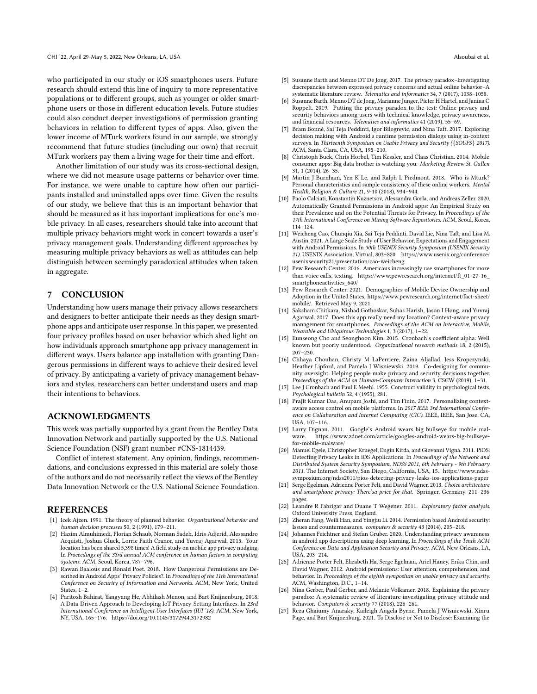who participated in our study or iOS smartphones users. Future research should extend this line of inquiry to more representative populations or to diferent groups, such as younger or older smartphone users or those in diferent education levels. Future studies could also conduct deeper investigations of permission granting behaviors in relation to diferent types of apps. Also, given the lower income of MTurk workers found in our sample, we strongly recommend that future studies (including our own) that recruit MTurk workers pay them a living wage for their time and effort.

Another limitation of our study was its cross-sectional design, where we did not measure usage patterns or behavior over time. For instance, we were unable to capture how often our participants installed and uninstalled apps over time. Given the results of our study, we believe that this is an important behavior that should be measured as it has important implications for one's mobile privacy. In all cases, researchers should take into account that multiple privacy behaviors might work in concert towards a user's privacy management goals. Understanding diferent approaches by measuring multiple privacy behaviors as well as attitudes can help distinguish between seemingly paradoxical attitudes when taken in aggregate.

## 7 CONCLUSION

Understanding how users manage their privacy allows researchers and designers to better anticipate their needs as they design smartphone apps and anticipate user response. In this paper, we presented four privacy profles based on user behavior which shed light on how individuals approach smartphone app privacy management in diferent ways. Users balance app installation with granting Dangerous permissions in diferent ways to achieve their desired level of privacy. By anticipating a variety of privacy management behaviors and styles, researchers can better understand users and map their intentions to behaviors.

#### ACKNOWLEDGMENTS

This work was partially supported by a grant from the Bentley Data Innovation Network and partially supported by the U.S. National Science Foundation (NSF) grant number #CNS-1814439.

Confict of interest statement. Any opinion, fndings, recommendations, and conclusions expressed in this material are solely those of the authors and do not necessarily refect the views of the Bentley Data Innovation Network or the U.S. National Science Foundation.

#### REFERENCES

- <span id="page-13-15"></span>[1] Icek Ajzen. 1991. The theory of planned behavior. Organizational behavior and human decision processes 50, 2 (1991), 179–211.
- <span id="page-13-8"></span>[2] Hazim Almuhimedi, Florian Schaub, Norman Sadeh, Idris Adjerid, Alessandro Acquisti, Joshua Gluck, Lorrie Faith Cranor, and Yuvraj Agarwal. 2015. Your location has been shared 5,398 times! A feld study on mobile app privacy nudging. In Proceedings of the 33rd annual ACM conference on human factors in computing systems. ACM, Seoul, Korea, 787–796.
- <span id="page-13-1"></span>[3] Rawan Baalous and Ronald Poet. 2018. How Dangerous Permissions are Described in Android Apps' Privacy Policies?. In Proceedings of the 11th International Conference on Security of Information and Networks. ACM, New York, United States, 1–2.
- <span id="page-13-24"></span>[4] Paritosh Bahirat, Yangyang He, Abhilash Menon, and Bart Knijnenburg. 2018. A Data-Driven Approach to Developing IoT Privacy-Setting Interfaces. In 23rd International Conference on Intelligent User Interfaces (IUI '18). ACM, New York, NY, USA, 165–176. <https://doi.org/10.1145/3172944.3172982>
- <span id="page-13-14"></span>[5] Susanne Barth and Menno DT De Jong. 2017. The privacy paradox–Investigating discrepancies between expressed privacy concerns and actual online behavior–A systematic literature review. Telematics and informatics 34, 7 (2017), 1038–1058.
- <span id="page-13-10"></span>Susanne Barth, Menno DT de Jong, Marianne Junger, Pieter H Hartel, and Janina C Roppelt. 2019. Putting the privacy paradox to the test: Online privacy and security behaviors among users with technical knowledge, privacy awareness, and fnancial resources. Telematics and informatics 41 (2019), 55–69.
- <span id="page-13-2"></span>[7] Bram Bonné, Sai Teja Peddinti, Igor Bilogrevic, and Nina Taft. 2017. Exploring decision making with Android's runtime permission dialogs using in-context surveys. In Thirteenth Symposium on Usable Privacy and Security ({SOUPS} 2017). ACM, Santa Clara, CA, USA, 195–210.
- <span id="page-13-11"></span>[8] Christoph Buck, Chris Horbel, Tim Kessler, and Claas Christian. 2014. Mobile consumer apps: Big data brother is watching you. Marketing Review St. Gallen 31, 1 (2014), 26–35.
- <span id="page-13-26"></span>[9] Martin J Burnham, Yen K Le, and Ralph L Piedmont. 2018. Who is Mturk? Personal characteristics and sample consistency of these online workers. Mental Health, Religion & Culture 21, 9-10 (2018), 934–944.
- <span id="page-13-21"></span>[10] Paolo Calciati, Konstantin Kuznetsov, Alessandra Gorla, and Andreas Zeller. 2020. Automatically Granted Permissions in Android apps: An Empirical Study on their Prevalence and on the Potential Threats for Privacy. In Proceedings of the 17th International Conference on Mining Software Repositories. ACM, Seoul, Korea, 114–124.
- <span id="page-13-4"></span>[11] Weicheng Cao, Chunqiu Xia, Sai Teja Peddinti, David Lie, Nina Taft, and Lisa M. Austin. 2021. A Large Scale Study of User Behavior, Expectations and Engagement with Android Permissions. In 30th USENIX Security Symposium (USENIX Security 21). USENIX Association, Virtual, 803–820. [https://www.usenix.org/conference/](https://www.usenix.org/conference/usenixsecurity21/presentation/cao-weicheng) [usenixsecurity21/presentation/cao-weicheng](https://www.usenix.org/conference/usenixsecurity21/presentation/cao-weicheng)
- <span id="page-13-18"></span>[12] Pew Research Center. 2016. Americans increasingly use smartphones for more than voice calls, texting. [https://www.pewresearch.org/internet/ft\\_01-27-16\\_](https://www.pewresearch.org/internet/ft_01-27-16_smartphoneactivities_640/) [smartphoneactivities\\_640/](https://www.pewresearch.org/internet/ft_01-27-16_smartphoneactivities_640/)
- <span id="page-13-0"></span>[13] Pew Research Center. 2021. Demographics of Mobile Device Ownership and Adoption in the United States. [https://www.pewresearch.org/internet/fact-sheet/](https://www.pewresearch.org/internet/fact- sheet/mobile/) [mobile/.](https://www.pewresearch.org/internet/fact- sheet/mobile/) Retrieved May 9, 2021.
- <span id="page-13-22"></span>[14] Saksham Chitkara, Nishad Gothoskar, Suhas Harish, Jason I Hong, and Yuvraj Agarwal. 2017. Does this app really need my location? Context-aware privacy management for smartphones. Proceedings of the ACM on Interactive, Mobile, Wearable and Ubiquitous Technologies 1, 3 (2017), 1–22.
- <span id="page-13-17"></span>[15] Eunseong Cho and Seonghoon Kim. 2015. Cronbach's coefficient alpha: Well known but poorly understood. Organizational research methods 18, 2 (2015), 207–230.
- <span id="page-13-9"></span>[16] Chhaya Chouhan, Christy M LaPerriere, Zaina Aljallad, Jess Kropczynski, Heather Lipford, and Pamela J Wisniewski. 2019. Co-designing for community oversight: Helping people make privacy and security decisions together.
- <span id="page-13-16"></span>Proceedings of the ACM on Human-Computer Interaction 3, CSCW (2019), 1–31. [17] Lee J Cronbach and Paul E Meehl. 1955. Construct validity in psychological tests. Psychological bulletin 52, 4 (1955), 281.
- <span id="page-13-3"></span>[18] Prajit Kumar Das, Anupam Joshi, and Tim Finin. 2017. Personalizing contextaware access control on mobile platforms. In 2017 IEEE 3rd International Conference on Collaboration and Internet Computing (CIC). IEEE, IEEE, San Jose, CA, USA, 107–116.
- <span id="page-13-13"></span>[19] Larry Dignan. 2011. Google's Android wears big bullseye for mobile malware. [https://www.zdnet.com/article/googles-android-wears-big-bullseye](https://www.zdnet.com/article/googles-android-wears-big-bullseye-for-mobile-malware/)[for-mobile-malware/](https://www.zdnet.com/article/googles-android-wears-big-bullseye-for-mobile-malware/)
- <span id="page-13-12"></span>[20] Manuel Egele, Christopher Kruegel, Engin Kirda, and Giovanni Vigna. 2011. PiOS: Detecting Privacy Leaks in iOS Applications. In Proceedings of the Network and Distributed System Security Symposium, NDSS 2011, 6th February - 9th February 2011. The Internet Society, San Diego, California, USA, 15. [https://www.ndss](https://www.ndss-symposium.org/ndss2011/pios-detecting-privacy-leaks-ios-applications-paper)[symposium.org/ndss2011/pios-detecting-privacy-leaks-ios-applications-paper](https://www.ndss-symposium.org/ndss2011/pios-detecting-privacy-leaks-ios-applications-paper)
- <span id="page-13-23"></span>[21] Serge Egelman, Adrienne Porter Felt, and David Wagner. 2013. Choice architecture and smartphone privacy: There'sa price for that. Springer, Germany. 211–236 pages.
- <span id="page-13-19"></span>[22] Leandre R Fabrigar and Duane T Wegener. 2011. Exploratory factor analysis. Oxford University Press, England.
- <span id="page-13-20"></span>[23] Zheran Fang, Weili Han, and Yingjiu Li. 2014. Permission based Android security: Issues and countermeasures. computers & security 43 (2014), 205–218.
- <span id="page-13-7"></span>[24] Johannes Feichtner and Stefan Gruber. 2020. Understanding privacy awareness in android app descriptions using deep learning. In Proceedings of the Tenth ACM Conference on Data and Application Security and Privacy. ACM, New Orleans, LA, USA, 203–214.
- <span id="page-13-6"></span>[25] Adrienne Porter Felt, Elizabeth Ha, Serge Egelman, Ariel Haney, Erika Chin, and David Wagner. 2012. Android permissions: User attention, comprehension, and behavior. In Proceedings of the eighth symposium on usable privacy and security. ACM, Washington, D.C., 1–14.
- <span id="page-13-5"></span>[26] Nina Gerber, Paul Gerber, and Melanie Volkamer. 2018. Explaining the privacy paradox: A systematic review of literature investigating privacy attitude and behavior. Computers & security 77 (2018), 226–261.
- <span id="page-13-25"></span>[27] Reza Ghaiumy Anaraky, Kaileigh Angela Byrne, Pamela J Wisniewski, Xinru Page, and Bart Knijnenburg. 2021. To Disclose or Not to Disclose: Examining the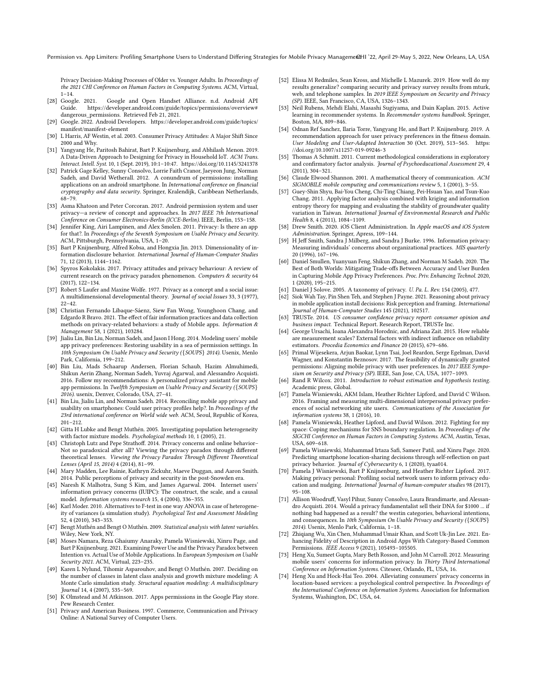Privacy Decision-Making Processes of Older vs. Younger Adults. In Proceedings of the 2021 CHI Conference on Human Factors in Computing Systems. ACM, Virtual,  $1 - 14.$ 

- <span id="page-14-3"></span>[28] Google. 2021. Google and Open Handset Alliance. n.d. Android API Guide. [https://developer.android.com/guide/topics/permissions/overview#](https://developer.android.com/guide/topics/permissions/overview#dangerous_permissions) [dangerous\\_permissions.](https://developer.android.com/guide/topics/permissions/overview#dangerous_permissions) Retrieved Feb 21, 2021.
- <span id="page-14-16"></span>[29] Google. 2022. Android Developers. [https://developer.android.com/guide/topics/](https://developer.android.com/guide/topics/manifest/manifest-element) [manifest/manifest-element](https://developer.android.com/guide/topics/manifest/manifest-element)
- <span id="page-14-12"></span>[30] L Harris, AF Westin, et al. 2003. Consumer Privacy Attitudes: A Major Shift Since 2000 and Why.
- <span id="page-14-41"></span>[31] Yangyang He, Paritosh Bahirat, Bart P. Knijnenburg, and Abhilash Menon. 2019. A Data-Driven Approach to Designing for Privacy in Household IoT. ACM Trans. Interact. Intell. Syst. 10, 1 (Sept. 2019), 10:1–10:47. <https://doi.org/10.1145/3241378>
- <span id="page-14-33"></span>[32] Patrick Gage Kelley, Sunny Consolvo, Lorrie Faith Cranor, Jaeyeon Jung, Norman Sadeh, and David Wetherall. 2012. A conundrum of permissions: installing applications on an android smartphone. In International conference on fnancial cryptography and data security. Springer, Kralendijk, Caribbean Netherlands, 68–79.
- <span id="page-14-34"></span>[33] Asma Khatoon and Peter Corcoran. 2017. Android permission system and user privacy—a review of concept and approaches. In 2017 IEEE 7th International Conference on Consumer Electronics-Berlin (ICCE-Berlin). IEEE, Berlin, 153–158.
- <span id="page-14-17"></span>[34] Jennifer King, Airi Lampinen, and Alex Smolen. 2011. Privacy: Is there an app for that?. In Proceedings of the Seventh Symposium on Usable Privacy and Security. ACM, Pittsburgh, Pennsylvania, USA, 1–20.
- <span id="page-14-15"></span>[35] Bart P Knijnenburg, Alfred Kobsa, and Hongxia Jin. 2013. Dimensionality of information disclosure behavior. International Journal of Human-Computer Studies 71, 12 (2013), 1144–1162.
- <span id="page-14-9"></span>[36] Spyros Kokolakis. 2017. Privacy attitudes and privacy behaviour: A review of current research on the privacy paradox phenomenon. Computers & security 64 (2017), 122–134.
- <span id="page-14-45"></span>[37] Robert S Laufer and Maxine Wolfe. 1977. Privacy as a concept and a social issue: A multidimensional developmental theory. Journal of social Issues 33, 3 (1977),  $22 - 42$ .
- <span id="page-14-38"></span>[38] Christian Fernando Libaque-Sáenz, Siew Fan Wong, Younghoon Chang, and Edgardo R Bravo. 2021. The efect of fair information practices and data collection methods on privacy-related behaviors: a study of Mobile apps. Information  $\&$ Management 58, 1 (2021), 103284.
- <span id="page-14-6"></span>[39] Jialiu Lin, Bin Liu, Norman Sadeh, and Jason I Hong. 2014. Modeling users' mobile app privacy preferences: Restoring usability in a sea of permission settings. In 10th Symposium On Usable Privacy and Security ({SOUPS} 2014). Usenix, Menlo Park, California, 199–212.
- <span id="page-14-4"></span>[40] Bin Liu, Mads Schaarup Andersen, Florian Schaub, Hazim Almuhimedi, Shikun Aerin Zhang, Norman Sadeh, Yuvraj Agarwal, and Alessandro Acquisti. 2016. Follow my recommendations: A personalized privacy assistant for mobile app permissions. In Twelfth Symposium on Usable Privacy and Security ({SOUPS} 2016). usenix, Denver, Colorado, USA, 27–41.
- <span id="page-14-10"></span>[41] Bin Liu, Jialiu Lin, and Norman Sadeh. 2014. Reconciling mobile app privacy and usability on smartphones: Could user privacy profles help?. In Proceedings of the 23rd international conference on World wide web. ACM, Seoul, Republic of Korea, 201–212.
- <span id="page-14-30"></span>[42] Gitta H Lubke and Bengt Muthén. 2005. Investigating population heterogeneity with factor mixture models. Psychological methods 10, 1 (2005), 21.
- <span id="page-14-8"></span>[43] Christoph Lutz and Pepe Strathoff. 2014. Privacy concerns and online behavior-Not so paradoxical after all? Viewing the privacy paradox through diferent theoretical lenses. Viewing the Privacy Paradox Through Diferent Theoretical Lenses (April 15, 2014) 4 (2014), 81–99.
- <span id="page-14-0"></span>[44] Mary Madden, Lee Rainie, Kathryn Zickuhr, Maeve Duggan, and Aaron Smith. 2014. Public perceptions of privacy and security in the post-Snowden era.
- <span id="page-14-20"></span>[45] Naresh K Malhotra, Sung S Kim, and James Agarwal. 2004. Internet users' information privacy concerns (IUIPC): The construct, the scale, and a causal model. Information systems research 15, 4 (2004), 336–355.
- <span id="page-14-31"></span>[46] Karl Moder. 2010. Alternatives to F-test in one way ANOVA in case of heterogeneity of variances (a simulation study). Psychological Test and Assessment Modeling 52, 4 (2010), 343–353.
- <span id="page-14-27"></span>[47] Bengt Muthén and Bengt O Muthén. 2009. Statistical analysis with latent variables. Wiley, New York, NY.
- <span id="page-14-18"></span>[48] Moses Namara, Reza Ghaiumy Anaraky, Pamela Wisniewski, Xinru Page, and Bart P Knijnenburg. 2021. Examining Power Use and the Privacy Paradox between Intention vs. Actual Use of Mobile Applications. In European Symposium on Usable Security 2021. ACM, Virtual, 223–235.
- <span id="page-14-24"></span>[49] Karen L Nylund, Tihomir Asparouhov, and Bengt O Muthén. 2007. Deciding on the number of classes in latent class analysis and growth mixture modeling: A Monte Carlo simulation study. Structural equation modeling: A multidisciplinary Journal 14, 4 (2007), 535–569.
- <span id="page-14-2"></span>[50] K Olmstead and M Atkinson. 2017. Apps permissions in the Google Play store. Pew Research Center.
- <span id="page-14-13"></span>[51] Privacy and American Business. 1997. Commerce, Communication and Privacy Online: A National Survey of Computer Users.
- <span id="page-14-46"></span>[52] Elissa M Redmiles, Sean Kross, and Michelle L Mazurek. 2019. How well do my results generalize? comparing security and privacy survey results from mturk, web, and telephone samples. In 2019 IEEE Symposium on Security and Privacy (SP). IEEE, San Francisco, CA, USA, 1326–1343.
- <span id="page-14-36"></span>[53] Neil Rubens, Mehdi Elahi, Masashi Sugiyama, and Dain Kaplan. 2015. Active learning in recommender systems. In Recommender systems handbook. Springer, Boston, MA, 809–846.
- <span id="page-14-42"></span>[54] Odnan Ref Sanchez, Ilaria Torre, Yangyang He, and Bart P. Knijnenburg. 2019. A recommendation approach for user privacy preferences in the ftness domain. User Modeling and User-Adapted Interaction 30 (Oct. 2019), 513–565. [https:](https://doi.org/10.1007/s11257-019-09246-3) [//doi.org/10.1007/s11257-019-09246-3](https://doi.org/10.1007/s11257-019-09246-3)
- <span id="page-14-25"></span>[55] Thomas A Schmitt. 2011. Current methodological considerations in exploratory and confirmatory factor analysis. Journal of Psychoeducational Assessment 29, 4 (2011), 304–321.
- <span id="page-14-28"></span>[56] Claude Elwood Shannon. 2001. A mathematical theory of communication. ACM SIGMOBILE mobile computing and communications review 5, 1 (2001), 3–55.
- <span id="page-14-29"></span>[57] Guey-Shin Shyu, Bai-You Cheng, Chi-Ting Chiang, Pei-Hsuan Yao, and Tsun-Kuo Chang. 2011. Applying factor analysis combined with kriging and information entropy theory for mapping and evaluating the stability of groundwater quality variation in Taiwan. International Journal of Environmental Research and Public Health 8, 4 (2011), 1084–1109.
- <span id="page-14-37"></span>[58] Drew Smith. 2020. iOS Client Administration. In Apple macOS and iOS System Administration. Springer, Apress, 109–144.
- <span id="page-14-21"></span>[59] H Jeff Smith, Sandra J Milberg, and Sandra J Burke. 1996. Information privacy: Measuring individuals' concerns about organizational practices. MIS quarterly 20 (1996), 167–196.
- <span id="page-14-44"></span>[60] Daniel Smullen, Yuanyuan Feng, Shikun Zhang, and Norman M Sadeh. 2020. The Best of Both Worlds: Mitigating Trade-ofs Between Accuracy and User Burden in Capturing Mobile App Privacy Preferences. Proc. Priv. Enhancing Technol. 2020, 1 (2020), 195–215.
- <span id="page-14-22"></span>[61] Daniel J Solove. 2005. A taxonomy of privacy. U. Pa. L. Rev. 154 (2005), 477.<br>[62] Siok Wah Tay. Pin Shen Teh. and Stephen I Payne. 2021. Reasoning about priv
- <span id="page-14-40"></span>Siok Wah Tay, Pin Shen Teh, and Stephen J Payne. 2021. Reasoning about privacy in mobile application install decisions: Risk perception and framing. International Journal of Human-Computer Studies 145 (2021), 102517.
- <span id="page-14-1"></span>[63] TRUSTe. 2014. US consumer confdence privacy report: consumer opinion and business impact. Technical Report. Research Report, TRUSTe Inc.
- <span id="page-14-26"></span>[64] George Ursachi, Ioana Alexandra Horodnic, and Adriana Zait. 2015. How reliable are measurement scales? External factors with indirect infuence on reliability estimators. Procedia Economics and Finance 20 (2015), 679–686.
- <span id="page-14-43"></span>[65] Primal Wijesekera, Arjun Baokar, Lynn Tsai, Joel Reardon, Serge Egelman, David Wagner, and Konstantin Beznosov. 2017. The feasibility of dynamically granted permissions: Aligning mobile privacy with user preferences. In 2017 IEEE Symposium on Security and Privacy (SP). IEEE, San Jose, CA, USA, 1077-1093.
- <span id="page-14-32"></span>[66] Rand R Wilcox. 2011. Introduction to robust estimation and hypothesis testing. Academic press, Global.
- <span id="page-14-5"></span>[67] Pamela Wisniewski, AKM Islam, Heather Richter Lipford, and David C Wilson. 2016. Framing and measuring multi-dimensional interpersonal privacy preferences of social networking site users. Communications of the Association for information systems 38, 1 (2016), 10.
- <span id="page-14-39"></span>[68] Pamela Wisniewski, Heather Lipford, and David Wilson. 2012. Fighting for my space: Coping mechanisms for SNS boundary regulation. In Proceedings of the SIGCHI Conference on Human Factors in Computing Systems. ACM, Austin, Texas, USA, 609–618.
- <span id="page-14-11"></span>[69] Pamela Wisniewski, Muhammad Irtaza Saf, Sameer Patil, and Xinru Page. 2020. Predicting smartphone location-sharing decisions through self-refection on past privacy behavior. Journal of Cybersecurity 6, 1 (2020), tyaa014.
- <span id="page-14-7"></span>[70] Pamela J Wisniewski, Bart P Knijnenburg, and Heather Richter Lipford. 2017. Making privacy personal: Profling social network users to inform privacy education and nudging. International Journal of human-computer studies 98 (2017), 95–108.
- <span id="page-14-14"></span>[71] Allison Woodruf, Vasyl Pihur, Sunny Consolvo, Laura Brandimarte, and Alessandro Acquisti. 2014. Would a privacy fundamentalist sell their DNA for \$1000 ... if nothing bad happened as a result? the westin categories, behavioral intentions, and consequences. In 10th Symposium On Usable Privacy and Security ({SOUPS} 2014). Usenix, Menlo Park, California, 1–18.
- <span id="page-14-35"></span>[72] Zhiqiang Wu, Xin Chen, Muhammad Umair Khan, and Scott Uk-Jin Lee. 2021. Enhancing Fidelity of Description in Android Apps With Category-Based Common Permissions. IEEE Access 9 (2021), 105493–105505.
- <span id="page-14-19"></span>[73] Heng Xu, Sumeet Gupta, Mary Beth Rosson, and John M Carroll. 2012. Measuring mobile users' concerns for information privacy. In Thirty Third International Conference on Information Systems. Citeseer, Orlando, FL, USA, 16.
- <span id="page-14-23"></span>[74] Heng Xu and Hock-Hai Teo. 2004. Alleviating consumers' privacy concerns in location-based services: a psychological control perspective. In Proceedings of the International Conference on Information Systems. Association for Information Systems, Washington, DC, USA, 64.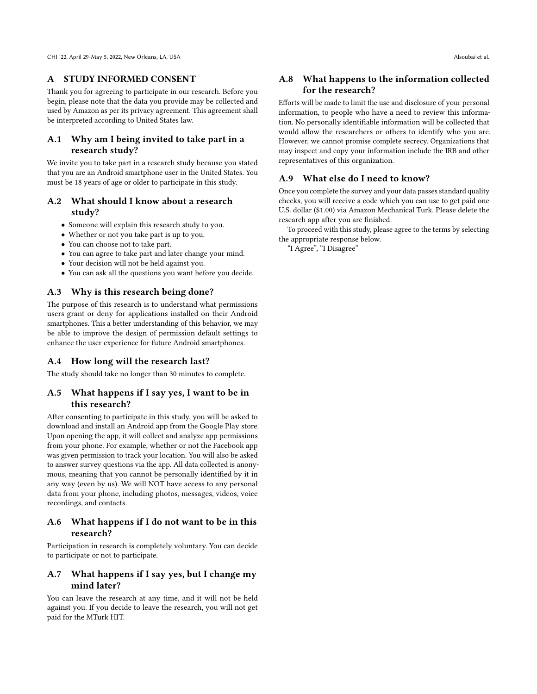#### A STUDY INFORMED CONSENT

Thank you for agreeing to participate in our research. Before you begin, please note that the data you provide may be collected and used by Amazon as per its privacy agreement. This agreement shall be interpreted according to United States law.

## A.1 Why am I being invited to take part in a research study?

We invite you to take part in a research study because you stated that you are an Android smartphone user in the United States. You must be 18 years of age or older to participate in this study.

## A.2 What should I know about a research study?

- Someone will explain this research study to you.
- Whether or not you take part is up to you.
- You can choose not to take part.
- You can agree to take part and later change your mind.
- Your decision will not be held against you.
- You can ask all the questions you want before you decide.

#### A.3 Why is this research being done?

The purpose of this research is to understand what permissions users grant or deny for applications installed on their Android smartphones. This a better understanding of this behavior, we may be able to improve the design of permission default settings to enhance the user experience for future Android smartphones.

#### A.4 How long will the research last?

The study should take no longer than 30 minutes to complete.

## A.5 What happens if I say yes, I want to be in this research?

After consenting to participate in this study, you will be asked to download and install an Android app from the Google Play store. Upon opening the app, it will collect and analyze app permissions from your phone. For example, whether or not the Facebook app was given permission to track your location. You will also be asked to answer survey questions via the app. All data collected is anonymous, meaning that you cannot be personally identifed by it in any way (even by us). We will NOT have access to any personal data from your phone, including photos, messages, videos, voice recordings, and contacts.

#### A.6 What happens if I do not want to be in this research?

Participation in research is completely voluntary. You can decide to participate or not to participate.

# A.7 What happens if I say yes, but I change my mind later?

You can leave the research at any time, and it will not be held against you. If you decide to leave the research, you will not get paid for the MTurk HIT.

## A.8 What happens to the information collected for the research?

Eforts will be made to limit the use and disclosure of your personal information, to people who have a need to review this information. No personally identifable information will be collected that would allow the researchers or others to identify who you are. However, we cannot promise complete secrecy. Organizations that may inspect and copy your information include the IRB and other representatives of this organization.

#### A.9 What else do I need to know?

Once you complete the survey and your data passes standard quality checks, you will receive a code which you can use to get paid one U.S. dollar (\$1.00) via Amazon Mechanical Turk. Please delete the research app after you are fnished.

To proceed with this study, please agree to the terms by selecting the appropriate response below.

"I Agree", "I Disagree"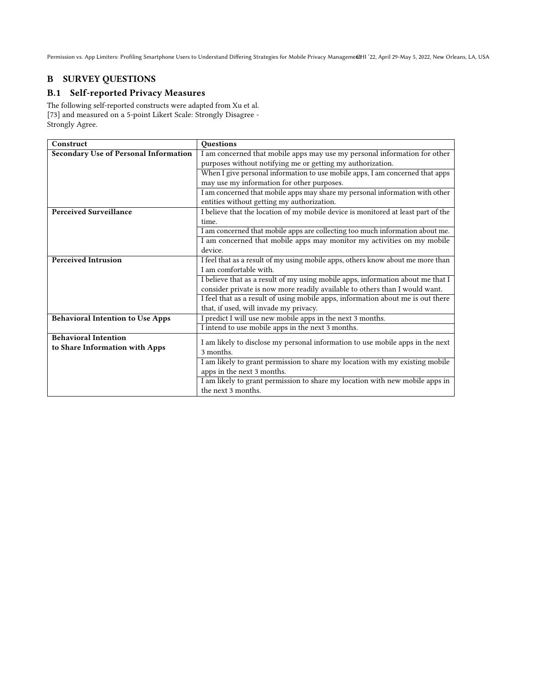# B SURVEY QUESTIONS

# B.1 Self-reported Privacy Measures

The following self-reported constructs were adapted from Xu et al. [\[73\]](#page-14-19) and measured on a 5-point Likert Scale: Strongly Disagree - Strongly Agree.

| <b>Questions</b>                                                                  |
|-----------------------------------------------------------------------------------|
| I am concerned that mobile apps may use my personal information for other         |
| purposes without notifying me or getting my authorization.                        |
| When I give personal information to use mobile apps, I am concerned that apps     |
| may use my information for other purposes.                                        |
| I am concerned that mobile apps may share my personal information with other      |
| entities without getting my authorization.                                        |
| I believe that the location of my mobile device is monitored at least part of the |
| time.                                                                             |
| I am concerned that mobile apps are collecting too much information about me.     |
| I am concerned that mobile apps may monitor my activities on my mobile            |
| device.                                                                           |
| I feel that as a result of my using mobile apps, others know about me more than   |
| I am comfortable with.                                                            |
| I believe that as a result of my using mobile apps, information about me that I   |
| consider private is now more readily available to others than I would want.       |
| I feel that as a result of using mobile apps, information about me is out there   |
| that, if used, will invade my privacy.                                            |
| I predict I will use new mobile apps in the next 3 months.                        |
| I intend to use mobile apps in the next 3 months.                                 |
| I am likely to disclose my personal information to use mobile apps in the next    |
| 3 months.                                                                         |
| I am likely to grant permission to share my location with my existing mobile      |
| apps in the next 3 months.                                                        |
| I am likely to grant permission to share my location with new mobile apps in      |
| the next 3 months.                                                                |
|                                                                                   |